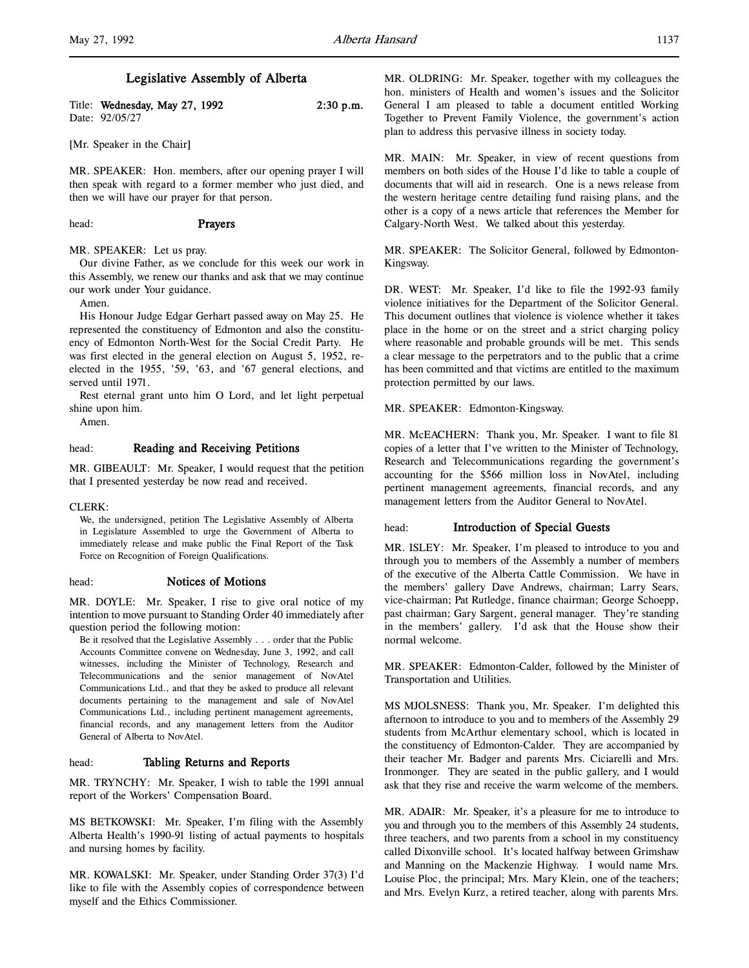# Legislative Assembly of Alberta

Title: Wednesday, May 27, 1992 2:30 p.m. Date: 92/05/27

[Mr. Speaker in the Chair]

MR. SPEAKER: Hon. members, after our opening prayer I will then speak with regard to a former member who just died, and then we will have our prayer for that person.

### head: Prayers

# MR. SPEAKER: Let us pray.

Our divine Father, as we conclude for this week our work in this Assembly, we renew our thanks and ask that we may continue our work under Your guidance.

Amen.

His Honour Judge Edgar Gerhart passed away on May 25. He represented the constituency of Edmonton and also the constituency of Edmonton North-West for the Social Credit Party. He was first elected in the general election on August 5, 1952, reelected in the 1955, '59, '63, and '67 general elections, and served until 1971.

Rest eternal grant unto him O Lord, and let light perpetual shine upon him.

Amen.

# head: Reading and Receiving Petitions

MR. GIBEAULT: Mr. Speaker, I would request that the petition that I presented yesterday be now read and received.

CLERK:

We, the undersigned, petition The Legislative Assembly of Alberta in Legislature Assembled to urge the Government of Alberta to immediately release and make public the Final Report of the Task Force on Recognition of Foreign Qualifications.

### head: Notices of Motions

MR. DOYLE: Mr. Speaker, I rise to give oral notice of my intention to move pursuant to Standing Order 40 immediately after question period the following motion:

Be it resolved that the Legislative Assembly . . . order that the Public Accounts Committee convene on Wednesday, June 3, 1992, and call witnesses, including the Minister of Technology, Research and Telecommunications and the senior management of NovAtel Communications Ltd., and that they be asked to produce all relevant documents pertaining to the management and sale of NovAtel Communications Ltd., including pertinent management agreements, financial records, and any management letters from the Auditor General of Alberta to NovAtel.

# head: Tabling Returns and Reports

MR. TRYNCHY: Mr. Speaker, I wish to table the 1991 annual report of the Workers' Compensation Board.

MS BETKOWSKI: Mr. Speaker, I'm filing with the Assembly Alberta Health's 1990-91 listing of actual payments to hospitals and nursing homes by facility.

MR. KOWALSKI: Mr. Speaker, under Standing Order 37(3) I'd like to file with the Assembly copies of correspondence between myself and the Ethics Commissioner.

MR. OLDRING: Mr. Speaker, together with my colleagues the hon. ministers of Health and women's issues and the Solicitor General I am pleased to table a document entitled Working Together to Prevent Family Violence, the government's action plan to address this pervasive illness in society today.

MR. MAIN: Mr. Speaker, in view of recent questions from members on both sides of the House I'd like to table a couple of documents that will aid in research. One is a news release from the western heritage centre detailing fund raising plans, and the other is a copy of a news article that references the Member for Calgary-North West. We talked about this yesterday.

MR. SPEAKER: The Solicitor General, followed by Edmonton-Kingsway.

DR. WEST: Mr. Speaker, I'd like to file the 1992-93 family violence initiatives for the Department of the Solicitor General. This document outlines that violence is violence whether it takes place in the home or on the street and a strict charging policy where reasonable and probable grounds will be met. This sends a clear message to the perpetrators and to the public that a crime has been committed and that victims are entitled to the maximum protection permitted by our laws.

MR. SPEAKER: Edmonton-Kingsway.

MR. McEACHERN: Thank you, Mr. Speaker. I want to file 81 copies of a letter that I've written to the Minister of Technology, Research and Telecommunications regarding the government's accounting for the \$566 million loss in NovAtel, including pertinent management agreements, financial records, and any management letters from the Auditor General to NovAtel.

# head: Introduction of Special Guests

MR. ISLEY: Mr. Speaker, I'm pleased to introduce to you and through you to members of the Assembly a number of members of the executive of the Alberta Cattle Commission. We have in the members' gallery Dave Andrews, chairman; Larry Sears, vice-chairman; Pat Rutledge, finance chairman; George Schoepp, past chairman; Gary Sargent, general manager. They're standing in the members' gallery. I'd ask that the House show their normal welcome.

MR. SPEAKER: Edmonton-Calder, followed by the Minister of Transportation and Utilities.

MS MJOLSNESS: Thank you, Mr. Speaker. I'm delighted this afternoon to introduce to you and to members of the Assembly 29 students from McArthur elementary school, which is located in the constituency of Edmonton-Calder. They are accompanied by their teacher Mr. Badger and parents Mrs. Ciciarelli and Mrs. Ironmonger. They are seated in the public gallery, and I would ask that they rise and receive the warm welcome of the members.

MR. ADAIR: Mr. Speaker, it's a pleasure for me to introduce to you and through you to the members of this Assembly 24 students, three teachers, and two parents from a school in my constituency called Dixonville school. It's located halfway between Grimshaw and Manning on the Mackenzie Highway. I would name Mrs. Louise Ploc, the principal; Mrs. Mary Klein, one of the teachers; and Mrs. Evelyn Kurz, a retired teacher, along with parents Mrs.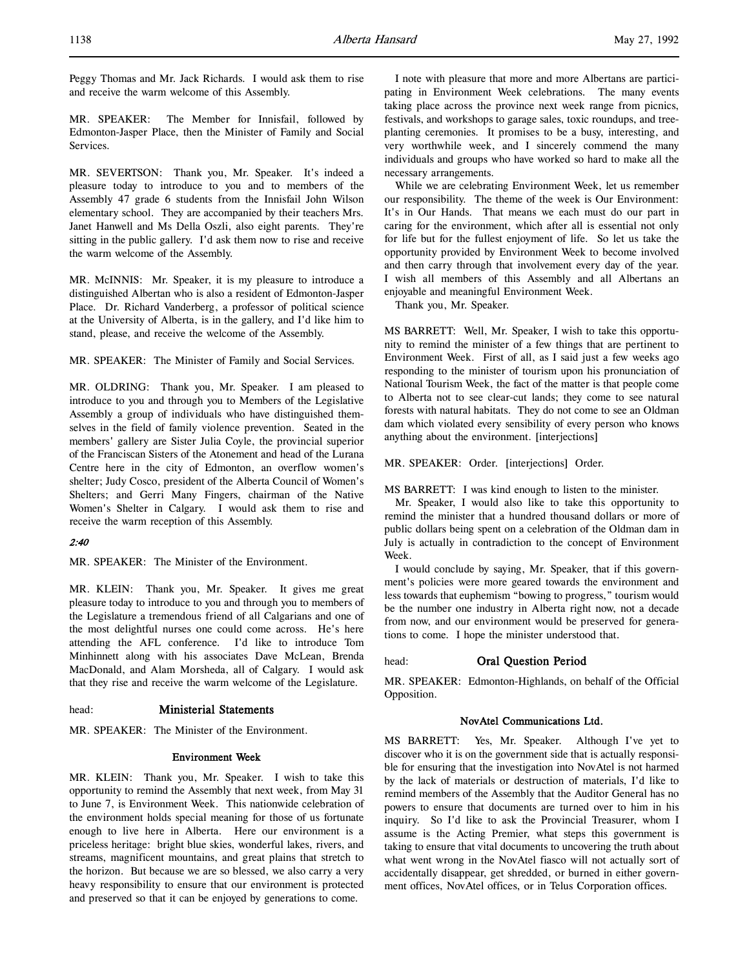Peggy Thomas and Mr. Jack Richards. I would ask them to rise and receive the warm welcome of this Assembly.

MR. SPEAKER: The Member for Innisfail, followed by Edmonton-Jasper Place, then the Minister of Family and Social Services.

MR. SEVERTSON: Thank you, Mr. Speaker. It's indeed a pleasure today to introduce to you and to members of the Assembly 47 grade 6 students from the Innisfail John Wilson elementary school. They are accompanied by their teachers Mrs. Janet Hanwell and Ms Della Oszli, also eight parents. They're sitting in the public gallery. I'd ask them now to rise and receive the warm welcome of the Assembly.

MR. McINNIS: Mr. Speaker, it is my pleasure to introduce a distinguished Albertan who is also a resident of Edmonton-Jasper Place. Dr. Richard Vanderberg, a professor of political science at the University of Alberta, is in the gallery, and I'd like him to stand, please, and receive the welcome of the Assembly.

MR. SPEAKER: The Minister of Family and Social Services.

MR. OLDRING: Thank you, Mr. Speaker. I am pleased to introduce to you and through you to Members of the Legislative Assembly a group of individuals who have distinguished themselves in the field of family violence prevention. Seated in the members' gallery are Sister Julia Coyle, the provincial superior of the Franciscan Sisters of the Atonement and head of the Lurana Centre here in the city of Edmonton, an overflow women's shelter; Judy Cosco, president of the Alberta Council of Women's Shelters; and Gerri Many Fingers, chairman of the Native Women's Shelter in Calgary. I would ask them to rise and receive the warm reception of this Assembly.

# 2:40

MR. SPEAKER: The Minister of the Environment.

MR. KLEIN: Thank you, Mr. Speaker. It gives me great pleasure today to introduce to you and through you to members of the Legislature a tremendous friend of all Calgarians and one of the most delightful nurses one could come across. He's here attending the AFL conference. I'd like to introduce Tom Minhinnett along with his associates Dave McLean, Brenda MacDonald, and Alam Morsheda, all of Calgary. I would ask that they rise and receive the warm welcome of the Legislature.

# head: Ministerial Statements

MR. SPEAKER: The Minister of the Environment.

### Environment Week

MR. KLEIN: Thank you, Mr. Speaker. I wish to take this opportunity to remind the Assembly that next week, from May 31 to June 7, is Environment Week. This nationwide celebration of the environment holds special meaning for those of us fortunate enough to live here in Alberta. Here our environment is a priceless heritage: bright blue skies, wonderful lakes, rivers, and streams, magnificent mountains, and great plains that stretch to the horizon. But because we are so blessed, we also carry a very heavy responsibility to ensure that our environment is protected and preserved so that it can be enjoyed by generations to come.

I note with pleasure that more and more Albertans are participating in Environment Week celebrations. The many events taking place across the province next week range from picnics, festivals, and workshops to garage sales, toxic roundups, and treeplanting ceremonies. It promises to be a busy, interesting, and very worthwhile week, and I sincerely commend the many individuals and groups who have worked so hard to make all the necessary arrangements.

While we are celebrating Environment Week, let us remember our responsibility. The theme of the week is Our Environment: It's in Our Hands. That means we each must do our part in caring for the environment, which after all is essential not only for life but for the fullest enjoyment of life. So let us take the opportunity provided by Environment Week to become involved and then carry through that involvement every day of the year. I wish all members of this Assembly and all Albertans an enjoyable and meaningful Environment Week.

Thank you, Mr. Speaker.

MS BARRETT: Well, Mr. Speaker, I wish to take this opportunity to remind the minister of a few things that are pertinent to Environment Week. First of all, as I said just a few weeks ago responding to the minister of tourism upon his pronunciation of National Tourism Week, the fact of the matter is that people come to Alberta not to see clear-cut lands; they come to see natural forests with natural habitats. They do not come to see an Oldman dam which violated every sensibility of every person who knows anything about the environment. [interjections]

MR. SPEAKER: Order. [interjections] Order.

MS BARRETT: I was kind enough to listen to the minister.

Mr. Speaker, I would also like to take this opportunity to remind the minister that a hundred thousand dollars or more of public dollars being spent on a celebration of the Oldman dam in July is actually in contradiction to the concept of Environment Week.

I would conclude by saying, Mr. Speaker, that if this government's policies were more geared towards the environment and less towards that euphemism "bowing to progress," tourism would be the number one industry in Alberta right now, not a decade from now, and our environment would be preserved for generations to come. I hope the minister understood that.

### head: Oral Question Period

MR. SPEAKER: Edmonton-Highlands, on behalf of the Official Opposition.

#### NovAtel Communications Ltd.

MS BARRETT: Yes, Mr. Speaker. Although I've yet to discover who it is on the government side that is actually responsible for ensuring that the investigation into NovAtel is not harmed by the lack of materials or destruction of materials, I'd like to remind members of the Assembly that the Auditor General has no powers to ensure that documents are turned over to him in his inquiry. So I'd like to ask the Provincial Treasurer, whom I assume is the Acting Premier, what steps this government is taking to ensure that vital documents to uncovering the truth about what went wrong in the NovAtel fiasco will not actually sort of accidentally disappear, get shredded, or burned in either government offices, NovAtel offices, or in Telus Corporation offices.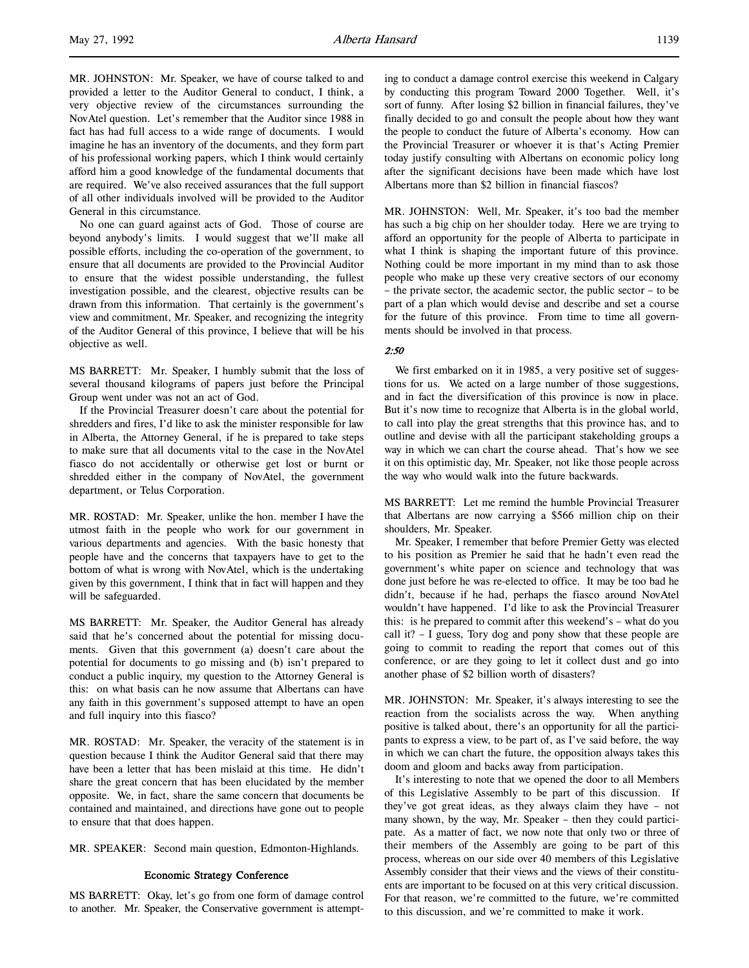MR. JOHNSTON: Mr. Speaker, we have of course talked to and provided a letter to the Auditor General to conduct, I think, a very objective review of the circumstances surrounding the NovAtel question. Let's remember that the Auditor since 1988 in fact has had full access to a wide range of documents. I would imagine he has an inventory of the documents, and they form part of his professional working papers, which I think would certainly afford him a good knowledge of the fundamental documents that are required. We've also received assurances that the full support of all other individuals involved will be provided to the Auditor General in this circumstance.

No one can guard against acts of God. Those of course are beyond anybody's limits. I would suggest that we'll make all possible efforts, including the co-operation of the government, to ensure that all documents are provided to the Provincial Auditor to ensure that the widest possible understanding, the fullest investigation possible, and the clearest, objective results can be drawn from this information. That certainly is the government's view and commitment, Mr. Speaker, and recognizing the integrity of the Auditor General of this province, I believe that will be his objective as well.

MS BARRETT: Mr. Speaker, I humbly submit that the loss of several thousand kilograms of papers just before the Principal Group went under was not an act of God.

If the Provincial Treasurer doesn't care about the potential for shredders and fires, I'd like to ask the minister responsible for law in Alberta, the Attorney General, if he is prepared to take steps to make sure that all documents vital to the case in the NovAtel fiasco do not accidentally or otherwise get lost or burnt or shredded either in the company of NovAtel, the government department, or Telus Corporation.

MR. ROSTAD: Mr. Speaker, unlike the hon. member I have the utmost faith in the people who work for our government in various departments and agencies. With the basic honesty that people have and the concerns that taxpayers have to get to the bottom of what is wrong with NovAtel, which is the undertaking given by this government, I think that in fact will happen and they will be safeguarded.

MS BARRETT: Mr. Speaker, the Auditor General has already said that he's concerned about the potential for missing documents. Given that this government (a) doesn't care about the potential for documents to go missing and (b) isn't prepared to conduct a public inquiry, my question to the Attorney General is this: on what basis can he now assume that Albertans can have any faith in this government's supposed attempt to have an open and full inquiry into this fiasco?

MR. ROSTAD: Mr. Speaker, the veracity of the statement is in question because I think the Auditor General said that there may have been a letter that has been mislaid at this time. He didn't share the great concern that has been elucidated by the member opposite. We, in fact, share the same concern that documents be contained and maintained, and directions have gone out to people to ensure that that does happen.

MR. SPEAKER: Second main question, Edmonton-Highlands.

# Economic Strategy Conference

MS BARRETT: Okay, let's go from one form of damage control to another. Mr. Speaker, the Conservative government is attempting to conduct a damage control exercise this weekend in Calgary by conducting this program Toward 2000 Together. Well, it's sort of funny. After losing \$2 billion in financial failures, they've finally decided to go and consult the people about how they want the people to conduct the future of Alberta's economy. How can the Provincial Treasurer or whoever it is that's Acting Premier today justify consulting with Albertans on economic policy long after the significant decisions have been made which have lost Albertans more than \$2 billion in financial fiascos?

MR. JOHNSTON: Well, Mr. Speaker, it's too bad the member has such a big chip on her shoulder today. Here we are trying to afford an opportunity for the people of Alberta to participate in what I think is shaping the important future of this province. Nothing could be more important in my mind than to ask those people who make up these very creative sectors of our economy – the private sector, the academic sector, the public sector – to be part of a plan which would devise and describe and set a course for the future of this province. From time to time all governments should be involved in that process.

# 2:50

We first embarked on it in 1985, a very positive set of suggestions for us. We acted on a large number of those suggestions, and in fact the diversification of this province is now in place. But it's now time to recognize that Alberta is in the global world, to call into play the great strengths that this province has, and to outline and devise with all the participant stakeholding groups a way in which we can chart the course ahead. That's how we see it on this optimistic day, Mr. Speaker, not like those people across the way who would walk into the future backwards.

MS BARRETT: Let me remind the humble Provincial Treasurer that Albertans are now carrying a \$566 million chip on their shoulders, Mr. Speaker.

Mr. Speaker, I remember that before Premier Getty was elected to his position as Premier he said that he hadn't even read the government's white paper on science and technology that was done just before he was re-elected to office. It may be too bad he didn't, because if he had, perhaps the fiasco around NovAtel wouldn't have happened. I'd like to ask the Provincial Treasurer this: is he prepared to commit after this weekend's – what do you call it? – I guess, Tory dog and pony show that these people are going to commit to reading the report that comes out of this conference, or are they going to let it collect dust and go into another phase of \$2 billion worth of disasters?

MR. JOHNSTON: Mr. Speaker, it's always interesting to see the reaction from the socialists across the way. When anything positive is talked about, there's an opportunity for all the participants to express a view, to be part of, as I've said before, the way in which we can chart the future, the opposition always takes this doom and gloom and backs away from participation.

It's interesting to note that we opened the door to all Members of this Legislative Assembly to be part of this discussion. If they've got great ideas, as they always claim they have – not many shown, by the way, Mr. Speaker – then they could participate. As a matter of fact, we now note that only two or three of their members of the Assembly are going to be part of this process, whereas on our side over 40 members of this Legislative Assembly consider that their views and the views of their constituents are important to be focused on at this very critical discussion. For that reason, we're committed to the future, we're committed to this discussion, and we're committed to make it work.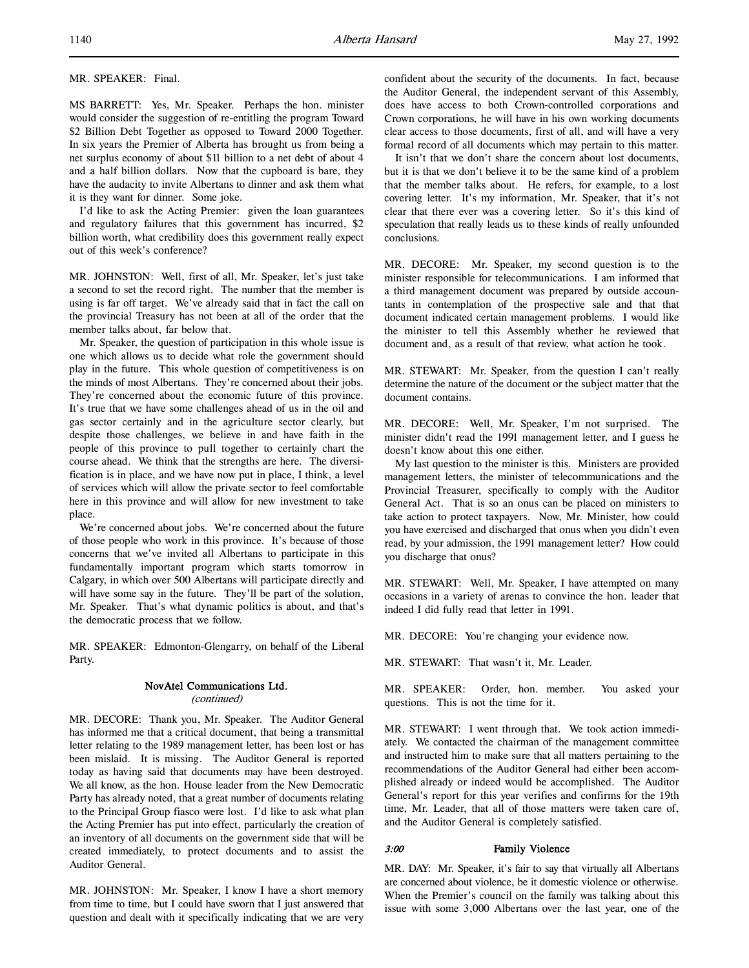MS BARRETT: Yes, Mr. Speaker. Perhaps the hon. minister would consider the suggestion of re-entitling the program Toward \$2 Billion Debt Together as opposed to Toward 2000 Together. In six years the Premier of Alberta has brought us from being a net surplus economy of about \$11 billion to a net debt of about 4 and a half billion dollars. Now that the cupboard is bare, they have the audacity to invite Albertans to dinner and ask them what it is they want for dinner. Some joke.

I'd like to ask the Acting Premier: given the loan guarantees and regulatory failures that this government has incurred, \$2 billion worth, what credibility does this government really expect out of this week's conference?

MR. JOHNSTON: Well, first of all, Mr. Speaker, let's just take a second to set the record right. The number that the member is using is far off target. We've already said that in fact the call on the provincial Treasury has not been at all of the order that the member talks about, far below that.

Mr. Speaker, the question of participation in this whole issue is one which allows us to decide what role the government should play in the future. This whole question of competitiveness is on the minds of most Albertans. They're concerned about their jobs. They're concerned about the economic future of this province. It's true that we have some challenges ahead of us in the oil and gas sector certainly and in the agriculture sector clearly, but despite those challenges, we believe in and have faith in the people of this province to pull together to certainly chart the course ahead. We think that the strengths are here. The diversification is in place, and we have now put in place, I think, a level of services which will allow the private sector to feel comfortable here in this province and will allow for new investment to take place.

We're concerned about jobs. We're concerned about the future of those people who work in this province. It's because of those concerns that we've invited all Albertans to participate in this fundamentally important program which starts tomorrow in Calgary, in which over 500 Albertans will participate directly and will have some say in the future. They'll be part of the solution, Mr. Speaker. That's what dynamic politics is about, and that's the democratic process that we follow.

MR. SPEAKER: Edmonton-Glengarry, on behalf of the Liberal Party.

# NovAtel Communications Ltd.

(continued)

MR. DECORE: Thank you, Mr. Speaker. The Auditor General has informed me that a critical document, that being a transmittal letter relating to the 1989 management letter, has been lost or has been mislaid. It is missing. The Auditor General is reported today as having said that documents may have been destroyed. We all know, as the hon. House leader from the New Democratic Party has already noted, that a great number of documents relating to the Principal Group fiasco were lost. I'd like to ask what plan the Acting Premier has put into effect, particularly the creation of an inventory of all documents on the government side that will be created immediately, to protect documents and to assist the Auditor General.

MR. JOHNSTON: Mr. Speaker, I know I have a short memory from time to time, but I could have sworn that I just answered that question and dealt with it specifically indicating that we are very

It isn't that we don't share the concern about lost documents, but it is that we don't believe it to be the same kind of a problem that the member talks about. He refers, for example, to a lost covering letter. It's my information, Mr. Speaker, that it's not clear that there ever was a covering letter. So it's this kind of speculation that really leads us to these kinds of really unfounded conclusions.

MR. DECORE: Mr. Speaker, my second question is to the minister responsible for telecommunications. I am informed that a third management document was prepared by outside accountants in contemplation of the prospective sale and that that document indicated certain management problems. I would like the minister to tell this Assembly whether he reviewed that document and, as a result of that review, what action he took.

MR. STEWART: Mr. Speaker, from the question I can't really determine the nature of the document or the subject matter that the document contains.

MR. DECORE: Well, Mr. Speaker, I'm not surprised. The minister didn't read the 1991 management letter, and I guess he doesn't know about this one either.

My last question to the minister is this. Ministers are provided management letters, the minister of telecommunications and the Provincial Treasurer, specifically to comply with the Auditor General Act. That is so an onus can be placed on ministers to take action to protect taxpayers. Now, Mr. Minister, how could you have exercised and discharged that onus when you didn't even read, by your admission, the 1991 management letter? How could you discharge that onus?

MR. STEWART: Well, Mr. Speaker, I have attempted on many occasions in a variety of arenas to convince the hon. leader that indeed I did fully read that letter in 1991.

MR. DECORE: You're changing your evidence now.

MR. STEWART: That wasn't it, Mr. Leader.

MR. SPEAKER: Order, hon. member. You asked your questions. This is not the time for it.

MR. STEWART: I went through that. We took action immediately. We contacted the chairman of the management committee and instructed him to make sure that all matters pertaining to the recommendations of the Auditor General had either been accomplished already or indeed would be accomplished. The Auditor General's report for this year verifies and confirms for the 19th time, Mr. Leader, that all of those matters were taken care of, and the Auditor General is completely satisfied.

# 3:00 Family Violence

MR. DAY: Mr. Speaker, it's fair to say that virtually all Albertans are concerned about violence, be it domestic violence or otherwise. When the Premier's council on the family was talking about this issue with some 3,000 Albertans over the last year, one of the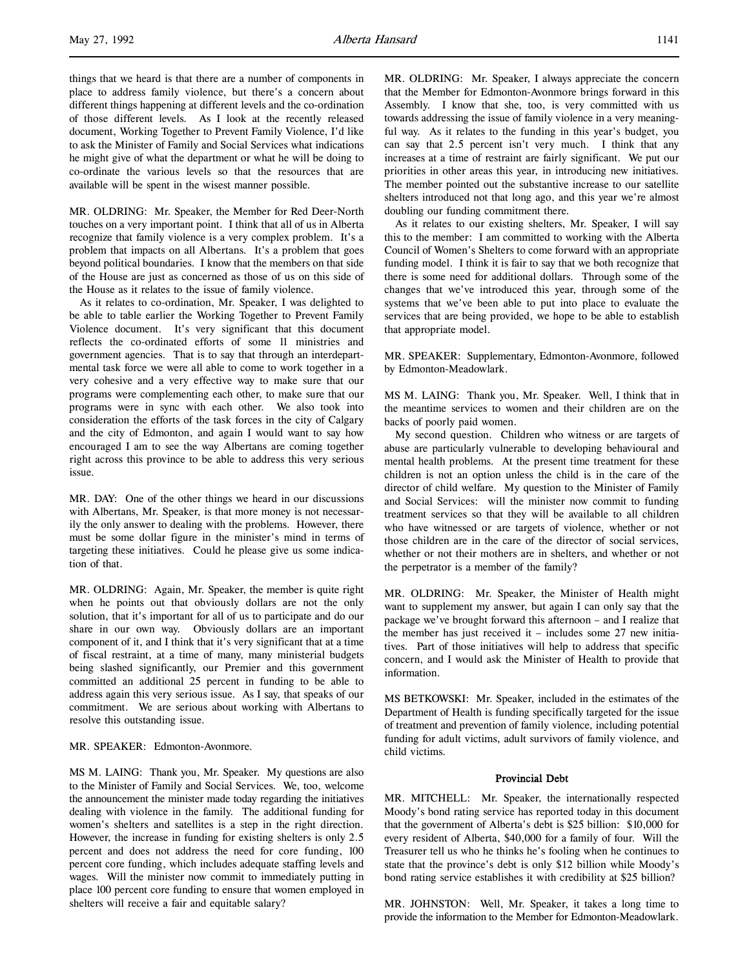things that we heard is that there are a number of components in place to address family violence, but there's a concern about different things happening at different levels and the co-ordination of those different levels. As I look at the recently released document, Working Together to Prevent Family Violence, I'd like to ask the Minister of Family and Social Services what indications he might give of what the department or what he will be doing to co-ordinate the various levels so that the resources that are available will be spent in the wisest manner possible.

MR. OLDRING: Mr. Speaker, the Member for Red Deer-North touches on a very important point. I think that all of us in Alberta recognize that family violence is a very complex problem. It's a problem that impacts on all Albertans. It's a problem that goes beyond political boundaries. I know that the members on that side of the House are just as concerned as those of us on this side of the House as it relates to the issue of family violence.

As it relates to co-ordination, Mr. Speaker, I was delighted to be able to table earlier the Working Together to Prevent Family Violence document. It's very significant that this document reflects the co-ordinated efforts of some 11 ministries and government agencies. That is to say that through an interdepartmental task force we were all able to come to work together in a very cohesive and a very effective way to make sure that our programs were complementing each other, to make sure that our programs were in sync with each other. We also took into consideration the efforts of the task forces in the city of Calgary and the city of Edmonton, and again I would want to say how encouraged I am to see the way Albertans are coming together right across this province to be able to address this very serious issue.

MR. DAY: One of the other things we heard in our discussions with Albertans, Mr. Speaker, is that more money is not necessarily the only answer to dealing with the problems. However, there must be some dollar figure in the minister's mind in terms of targeting these initiatives. Could he please give us some indication of that.

MR. OLDRING: Again, Mr. Speaker, the member is quite right when he points out that obviously dollars are not the only solution, that it's important for all of us to participate and do our share in our own way. Obviously dollars are an important component of it, and I think that it's very significant that at a time of fiscal restraint, at a time of many, many ministerial budgets being slashed significantly, our Premier and this government committed an additional 25 percent in funding to be able to address again this very serious issue. As I say, that speaks of our commitment. We are serious about working with Albertans to resolve this outstanding issue.

# MR. SPEAKER: Edmonton-Avonmore.

MS M. LAING: Thank you, Mr. Speaker. My questions are also to the Minister of Family and Social Services. We, too, welcome the announcement the minister made today regarding the initiatives dealing with violence in the family. The additional funding for women's shelters and satellites is a step in the right direction. However, the increase in funding for existing shelters is only 2.5 percent and does not address the need for core funding, 100 percent core funding, which includes adequate staffing levels and wages. Will the minister now commit to immediately putting in place 100 percent core funding to ensure that women employed in shelters will receive a fair and equitable salary?

MR. OLDRING: Mr. Speaker, I always appreciate the concern that the Member for Edmonton-Avonmore brings forward in this Assembly. I know that she, too, is very committed with us towards addressing the issue of family violence in a very meaningful way. As it relates to the funding in this year's budget, you can say that 2.5 percent isn't very much. I think that any increases at a time of restraint are fairly significant. We put our priorities in other areas this year, in introducing new initiatives. The member pointed out the substantive increase to our satellite shelters introduced not that long ago, and this year we're almost doubling our funding commitment there.

As it relates to our existing shelters, Mr. Speaker, I will say this to the member: I am committed to working with the Alberta Council of Women's Shelters to come forward with an appropriate funding model. I think it is fair to say that we both recognize that there is some need for additional dollars. Through some of the changes that we've introduced this year, through some of the systems that we've been able to put into place to evaluate the services that are being provided, we hope to be able to establish that appropriate model.

MR. SPEAKER: Supplementary, Edmonton-Avonmore, followed by Edmonton-Meadowlark.

MS M. LAING: Thank you, Mr. Speaker. Well, I think that in the meantime services to women and their children are on the backs of poorly paid women.

My second question. Children who witness or are targets of abuse are particularly vulnerable to developing behavioural and mental health problems. At the present time treatment for these children is not an option unless the child is in the care of the director of child welfare. My question to the Minister of Family and Social Services: will the minister now commit to funding treatment services so that they will be available to all children who have witnessed or are targets of violence, whether or not those children are in the care of the director of social services, whether or not their mothers are in shelters, and whether or not the perpetrator is a member of the family?

MR. OLDRING: Mr. Speaker, the Minister of Health might want to supplement my answer, but again I can only say that the package we've brought forward this afternoon – and I realize that the member has just received it – includes some 27 new initiatives. Part of those initiatives will help to address that specific concern, and I would ask the Minister of Health to provide that information.

MS BETKOWSKI: Mr. Speaker, included in the estimates of the Department of Health is funding specifically targeted for the issue of treatment and prevention of family violence, including potential funding for adult victims, adult survivors of family violence, and child victims.

## Provincial Debt

MR. MITCHELL: Mr. Speaker, the internationally respected Moody's bond rating service has reported today in this document that the government of Alberta's debt is \$25 billion: \$10,000 for every resident of Alberta, \$40,000 for a family of four. Will the Treasurer tell us who he thinks he's fooling when he continues to state that the province's debt is only \$12 billion while Moody's bond rating service establishes it with credibility at \$25 billion?

MR. JOHNSTON: Well, Mr. Speaker, it takes a long time to provide the information to the Member for Edmonton-Meadowlark.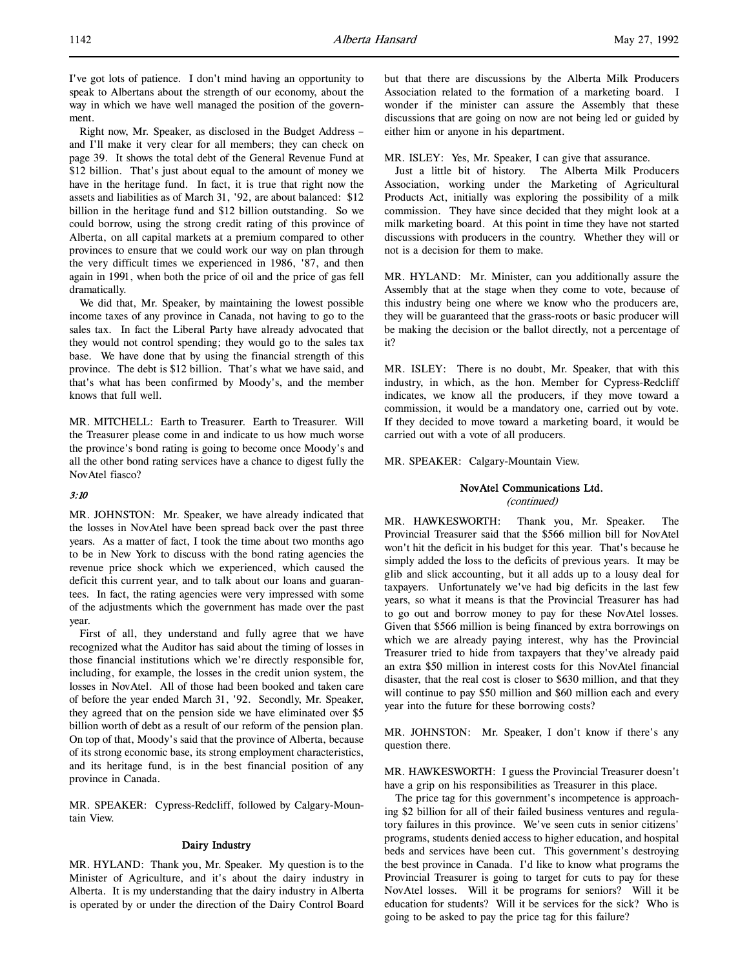Right now, Mr. Speaker, as disclosed in the Budget Address – and I'll make it very clear for all members; they can check on page 39. It shows the total debt of the General Revenue Fund at \$12 billion. That's just about equal to the amount of money we have in the heritage fund. In fact, it is true that right now the assets and liabilities as of March 31, '92, are about balanced: \$12 billion in the heritage fund and \$12 billion outstanding. So we could borrow, using the strong credit rating of this province of Alberta, on all capital markets at a premium compared to other provinces to ensure that we could work our way on plan through the very difficult times we experienced in 1986, '87, and then again in 1991, when both the price of oil and the price of gas fell dramatically.

We did that, Mr. Speaker, by maintaining the lowest possible income taxes of any province in Canada, not having to go to the sales tax. In fact the Liberal Party have already advocated that they would not control spending; they would go to the sales tax base. We have done that by using the financial strength of this province. The debt is \$12 billion. That's what we have said, and that's what has been confirmed by Moody's, and the member knows that full well.

MR. MITCHELL: Earth to Treasurer. Earth to Treasurer. Will the Treasurer please come in and indicate to us how much worse the province's bond rating is going to become once Moody's and all the other bond rating services have a chance to digest fully the NovAtel fiasco?

# 3:10

MR. JOHNSTON: Mr. Speaker, we have already indicated that the losses in NovAtel have been spread back over the past three years. As a matter of fact, I took the time about two months ago to be in New York to discuss with the bond rating agencies the revenue price shock which we experienced, which caused the deficit this current year, and to talk about our loans and guarantees. In fact, the rating agencies were very impressed with some of the adjustments which the government has made over the past year.

First of all, they understand and fully agree that we have recognized what the Auditor has said about the timing of losses in those financial institutions which we're directly responsible for, including, for example, the losses in the credit union system, the losses in NovAtel. All of those had been booked and taken care of before the year ended March 31, '92. Secondly, Mr. Speaker, they agreed that on the pension side we have eliminated over \$5 billion worth of debt as a result of our reform of the pension plan. On top of that, Moody's said that the province of Alberta, because of its strong economic base, its strong employment characteristics, and its heritage fund, is in the best financial position of any province in Canada.

MR. SPEAKER: Cypress-Redcliff, followed by Calgary-Mountain View.

# Dairy Industry

MR. HYLAND: Thank you, Mr. Speaker. My question is to the Minister of Agriculture, and it's about the dairy industry in Alberta. It is my understanding that the dairy industry in Alberta is operated by or under the direction of the Dairy Control Board

but that there are discussions by the Alberta Milk Producers Association related to the formation of a marketing board. I wonder if the minister can assure the Assembly that these discussions that are going on now are not being led or guided by either him or anyone in his department.

MR. ISLEY: Yes, Mr. Speaker, I can give that assurance.

Just a little bit of history. The Alberta Milk Producers Association, working under the Marketing of Agricultural Products Act, initially was exploring the possibility of a milk commission. They have since decided that they might look at a milk marketing board. At this point in time they have not started discussions with producers in the country. Whether they will or not is a decision for them to make.

MR. HYLAND: Mr. Minister, can you additionally assure the Assembly that at the stage when they come to vote, because of this industry being one where we know who the producers are, they will be guaranteed that the grass-roots or basic producer will be making the decision or the ballot directly, not a percentage of it?

MR. ISLEY: There is no doubt, Mr. Speaker, that with this industry, in which, as the hon. Member for Cypress-Redcliff indicates, we know all the producers, if they move toward a commission, it would be a mandatory one, carried out by vote. If they decided to move toward a marketing board, it would be carried out with a vote of all producers.

MR. SPEAKER: Calgary-Mountain View.

# NovAtel Communications Ltd.

(continued)

MR. HAWKESWORTH: Thank you, Mr. Speaker. The Provincial Treasurer said that the \$566 million bill for NovAtel won't hit the deficit in his budget for this year. That's because he simply added the loss to the deficits of previous years. It may be glib and slick accounting, but it all adds up to a lousy deal for taxpayers. Unfortunately we've had big deficits in the last few years, so what it means is that the Provincial Treasurer has had to go out and borrow money to pay for these NovAtel losses. Given that \$566 million is being financed by extra borrowings on which we are already paying interest, why has the Provincial Treasurer tried to hide from taxpayers that they've already paid an extra \$50 million in interest costs for this NovAtel financial disaster, that the real cost is closer to \$630 million, and that they will continue to pay \$50 million and \$60 million each and every year into the future for these borrowing costs?

MR. JOHNSTON: Mr. Speaker, I don't know if there's any question there.

MR. HAWKESWORTH: I guess the Provincial Treasurer doesn't have a grip on his responsibilities as Treasurer in this place.

The price tag for this government's incompetence is approaching \$2 billion for all of their failed business ventures and regulatory failures in this province. We've seen cuts in senior citizens' programs, students denied access to higher education, and hospital beds and services have been cut. This government's destroying the best province in Canada. I'd like to know what programs the Provincial Treasurer is going to target for cuts to pay for these NovAtel losses. Will it be programs for seniors? Will it be education for students? Will it be services for the sick? Who is going to be asked to pay the price tag for this failure?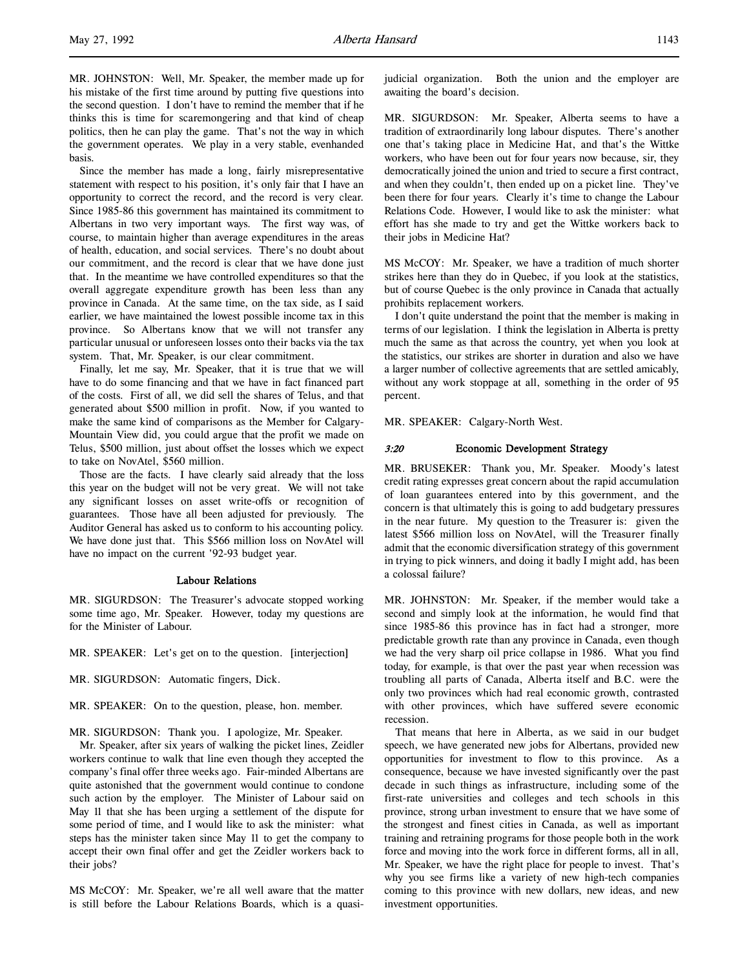MR. JOHNSTON: Well, Mr. Speaker, the member made up for his mistake of the first time around by putting five questions into the second question. I don't have to remind the member that if he thinks this is time for scaremongering and that kind of cheap politics, then he can play the game. That's not the way in which the government operates. We play in a very stable, evenhanded basis.

Since the member has made a long, fairly misrepresentative statement with respect to his position, it's only fair that I have an opportunity to correct the record, and the record is very clear. Since 1985-86 this government has maintained its commitment to Albertans in two very important ways. The first way was, of course, to maintain higher than average expenditures in the areas of health, education, and social services. There's no doubt about our commitment, and the record is clear that we have done just that. In the meantime we have controlled expenditures so that the overall aggregate expenditure growth has been less than any province in Canada. At the same time, on the tax side, as I said earlier, we have maintained the lowest possible income tax in this province. So Albertans know that we will not transfer any particular unusual or unforeseen losses onto their backs via the tax system. That, Mr. Speaker, is our clear commitment.

Finally, let me say, Mr. Speaker, that it is true that we will have to do some financing and that we have in fact financed part of the costs. First of all, we did sell the shares of Telus, and that generated about \$500 million in profit. Now, if you wanted to make the same kind of comparisons as the Member for Calgary-Mountain View did, you could argue that the profit we made on Telus, \$500 million, just about offset the losses which we expect to take on NovAtel, \$560 million.

Those are the facts. I have clearly said already that the loss this year on the budget will not be very great. We will not take any significant losses on asset write-offs or recognition of guarantees. Those have all been adjusted for previously. The Auditor General has asked us to conform to his accounting policy. We have done just that. This \$566 million loss on NovAtel will have no impact on the current '92-93 budget year.

#### Labour Relations

MR. SIGURDSON: The Treasurer's advocate stopped working some time ago, Mr. Speaker. However, today my questions are for the Minister of Labour.

MR. SPEAKER: Let's get on to the question. [interjection]

- MR. SIGURDSON: Automatic fingers, Dick.
- MR. SPEAKER: On to the question, please, hon. member.

MR. SIGURDSON: Thank you. I apologize, Mr. Speaker.

Mr. Speaker, after six years of walking the picket lines, Zeidler workers continue to walk that line even though they accepted the company's final offer three weeks ago. Fair-minded Albertans are quite astonished that the government would continue to condone such action by the employer. The Minister of Labour said on May 11 that she has been urging a settlement of the dispute for some period of time, and I would like to ask the minister: what steps has the minister taken since May 11 to get the company to accept their own final offer and get the Zeidler workers back to their jobs?

MS McCOY: Mr. Speaker, we're all well aware that the matter is still before the Labour Relations Boards, which is a quasijudicial organization. Both the union and the employer are awaiting the board's decision.

MR. SIGURDSON: Mr. Speaker, Alberta seems to have a tradition of extraordinarily long labour disputes. There's another one that's taking place in Medicine Hat, and that's the Wittke workers, who have been out for four years now because, sir, they democratically joined the union and tried to secure a first contract, and when they couldn't, then ended up on a picket line. They've been there for four years. Clearly it's time to change the Labour Relations Code. However, I would like to ask the minister: what effort has she made to try and get the Wittke workers back to their jobs in Medicine Hat?

MS McCOY: Mr. Speaker, we have a tradition of much shorter strikes here than they do in Quebec, if you look at the statistics, but of course Quebec is the only province in Canada that actually prohibits replacement workers.

I don't quite understand the point that the member is making in terms of our legislation. I think the legislation in Alberta is pretty much the same as that across the country, yet when you look at the statistics, our strikes are shorter in duration and also we have a larger number of collective agreements that are settled amicably, without any work stoppage at all, something in the order of 95 percent.

MR. SPEAKER: Calgary-North West.

## 3:20 Economic Development Strategy

MR. BRUSEKER: Thank you, Mr. Speaker. Moody's latest credit rating expresses great concern about the rapid accumulation of loan guarantees entered into by this government, and the concern is that ultimately this is going to add budgetary pressures in the near future. My question to the Treasurer is: given the latest \$566 million loss on NovAtel, will the Treasurer finally admit that the economic diversification strategy of this government in trying to pick winners, and doing it badly I might add, has been a colossal failure?

MR. JOHNSTON: Mr. Speaker, if the member would take a second and simply look at the information, he would find that since 1985-86 this province has in fact had a stronger, more predictable growth rate than any province in Canada, even though we had the very sharp oil price collapse in 1986. What you find today, for example, is that over the past year when recession was troubling all parts of Canada, Alberta itself and B.C. were the only two provinces which had real economic growth, contrasted with other provinces, which have suffered severe economic recession.

That means that here in Alberta, as we said in our budget speech, we have generated new jobs for Albertans, provided new opportunities for investment to flow to this province. As a consequence, because we have invested significantly over the past decade in such things as infrastructure, including some of the first-rate universities and colleges and tech schools in this province, strong urban investment to ensure that we have some of the strongest and finest cities in Canada, as well as important training and retraining programs for those people both in the work force and moving into the work force in different forms, all in all, Mr. Speaker, we have the right place for people to invest. That's why you see firms like a variety of new high-tech companies coming to this province with new dollars, new ideas, and new investment opportunities.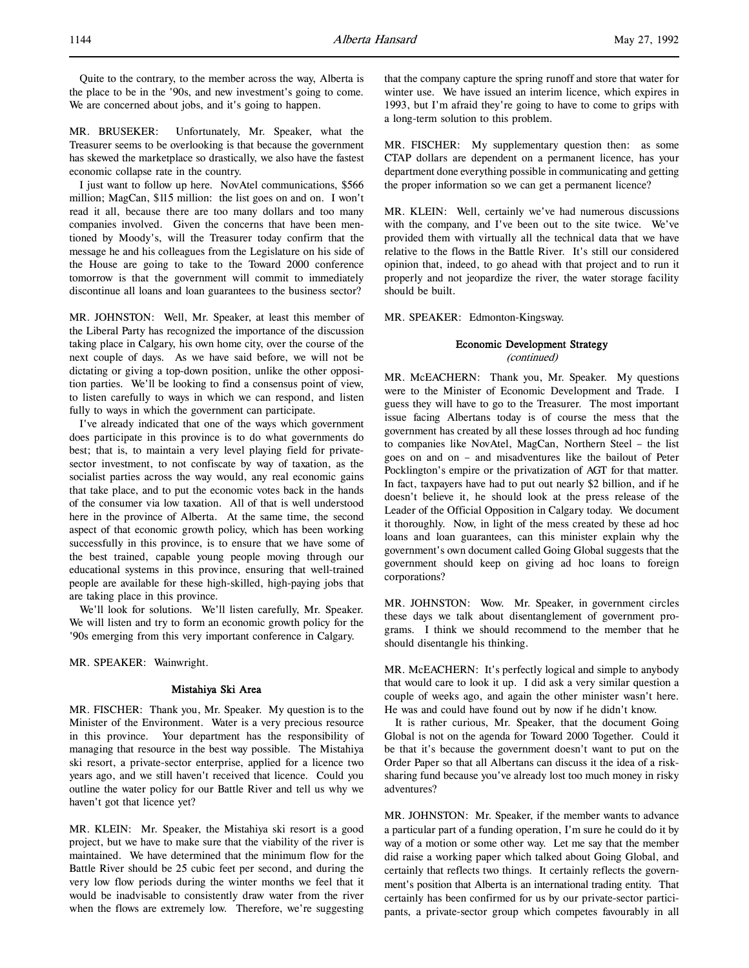Quite to the contrary, to the member across the way, Alberta is the place to be in the '90s, and new investment's going to come. We are concerned about jobs, and it's going to happen.

MR. BRUSEKER: Unfortunately, Mr. Speaker, what the Treasurer seems to be overlooking is that because the government has skewed the marketplace so drastically, we also have the fastest economic collapse rate in the country.

I just want to follow up here. NovAtel communications, \$566 million; MagCan, \$115 million: the list goes on and on. I won't read it all, because there are too many dollars and too many companies involved. Given the concerns that have been mentioned by Moody's, will the Treasurer today confirm that the message he and his colleagues from the Legislature on his side of the House are going to take to the Toward 2000 conference tomorrow is that the government will commit to immediately discontinue all loans and loan guarantees to the business sector?

MR. JOHNSTON: Well, Mr. Speaker, at least this member of the Liberal Party has recognized the importance of the discussion taking place in Calgary, his own home city, over the course of the next couple of days. As we have said before, we will not be dictating or giving a top-down position, unlike the other opposition parties. We'll be looking to find a consensus point of view, to listen carefully to ways in which we can respond, and listen fully to ways in which the government can participate.

I've already indicated that one of the ways which government does participate in this province is to do what governments do best; that is, to maintain a very level playing field for privatesector investment, to not confiscate by way of taxation, as the socialist parties across the way would, any real economic gains that take place, and to put the economic votes back in the hands of the consumer via low taxation. All of that is well understood here in the province of Alberta. At the same time, the second aspect of that economic growth policy, which has been working successfully in this province, is to ensure that we have some of the best trained, capable young people moving through our educational systems in this province, ensuring that well-trained people are available for these high-skilled, high-paying jobs that are taking place in this province.

We'll look for solutions. We'll listen carefully, Mr. Speaker. We will listen and try to form an economic growth policy for the '90s emerging from this very important conference in Calgary.

MR. SPEAKER: Wainwright.

# Mistahiya Ski Area

MR. FISCHER: Thank you, Mr. Speaker. My question is to the Minister of the Environment. Water is a very precious resource in this province. Your department has the responsibility of managing that resource in the best way possible. The Mistahiya ski resort, a private-sector enterprise, applied for a licence two years ago, and we still haven't received that licence. Could you outline the water policy for our Battle River and tell us why we haven't got that licence yet?

MR. KLEIN: Mr. Speaker, the Mistahiya ski resort is a good project, but we have to make sure that the viability of the river is maintained. We have determined that the minimum flow for the Battle River should be 25 cubic feet per second, and during the very low flow periods during the winter months we feel that it would be inadvisable to consistently draw water from the river when the flows are extremely low. Therefore, we're suggesting

that the company capture the spring runoff and store that water for winter use. We have issued an interim licence, which expires in 1993, but I'm afraid they're going to have to come to grips with a long-term solution to this problem.

MR. FISCHER: My supplementary question then: as some CTAP dollars are dependent on a permanent licence, has your department done everything possible in communicating and getting the proper information so we can get a permanent licence?

MR. KLEIN: Well, certainly we've had numerous discussions with the company, and I've been out to the site twice. We've provided them with virtually all the technical data that we have relative to the flows in the Battle River. It's still our considered opinion that, indeed, to go ahead with that project and to run it properly and not jeopardize the river, the water storage facility should be built.

MR. SPEAKER: Edmonton-Kingsway.

# Economic Development Strategy (continued)

MR. McEACHERN: Thank you, Mr. Speaker. My questions were to the Minister of Economic Development and Trade. I guess they will have to go to the Treasurer. The most important issue facing Albertans today is of course the mess that the government has created by all these losses through ad hoc funding to companies like NovAtel, MagCan, Northern Steel – the list goes on and on – and misadventures like the bailout of Peter Pocklington's empire or the privatization of AGT for that matter. In fact, taxpayers have had to put out nearly \$2 billion, and if he doesn't believe it, he should look at the press release of the Leader of the Official Opposition in Calgary today. We document it thoroughly. Now, in light of the mess created by these ad hoc loans and loan guarantees, can this minister explain why the government's own document called Going Global suggests that the government should keep on giving ad hoc loans to foreign corporations?

MR. JOHNSTON: Wow. Mr. Speaker, in government circles these days we talk about disentanglement of government programs. I think we should recommend to the member that he should disentangle his thinking.

MR. McEACHERN: It's perfectly logical and simple to anybody that would care to look it up. I did ask a very similar question a couple of weeks ago, and again the other minister wasn't here. He was and could have found out by now if he didn't know.

It is rather curious, Mr. Speaker, that the document Going Global is not on the agenda for Toward 2000 Together. Could it be that it's because the government doesn't want to put on the Order Paper so that all Albertans can discuss it the idea of a risksharing fund because you've already lost too much money in risky adventures?

MR. JOHNSTON: Mr. Speaker, if the member wants to advance a particular part of a funding operation, I'm sure he could do it by way of a motion or some other way. Let me say that the member did raise a working paper which talked about Going Global, and certainly that reflects two things. It certainly reflects the government's position that Alberta is an international trading entity. That certainly has been confirmed for us by our private-sector participants, a private-sector group which competes favourably in all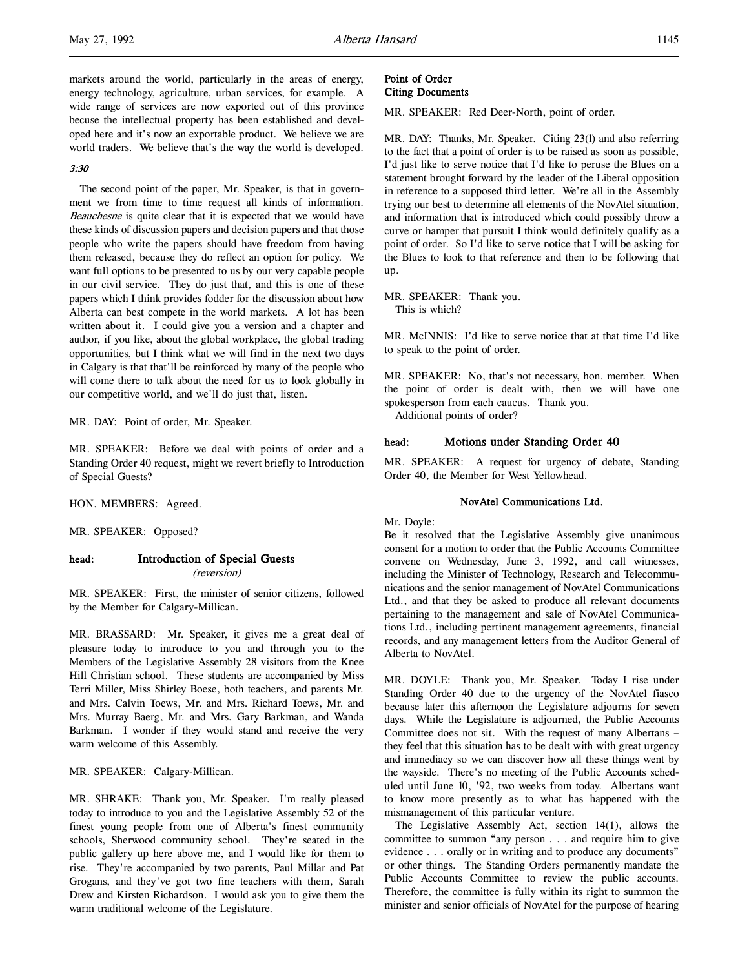markets around the world, particularly in the areas of energy, energy technology, agriculture, urban services, for example. A wide range of services are now exported out of this province becuse the intellectual property has been established and developed here and it's now an exportable product. We believe we are world traders. We believe that's the way the world is developed.

# 3:30

The second point of the paper, Mr. Speaker, is that in government we from time to time request all kinds of information. Beauchesne is quite clear that it is expected that we would have these kinds of discussion papers and decision papers and that those people who write the papers should have freedom from having them released, because they do reflect an option for policy. We want full options to be presented to us by our very capable people in our civil service. They do just that, and this is one of these papers which I think provides fodder for the discussion about how Alberta can best compete in the world markets. A lot has been written about it. I could give you a version and a chapter and author, if you like, about the global workplace, the global trading opportunities, but I think what we will find in the next two days in Calgary is that that'll be reinforced by many of the people who will come there to talk about the need for us to look globally in our competitive world, and we'll do just that, listen.

MR. DAY: Point of order, Mr. Speaker.

MR. SPEAKER: Before we deal with points of order and a Standing Order 40 request, might we revert briefly to Introduction of Special Guests?

HON. MEMBERS: Agreed.

MR. SPEAKER: Opposed?

# head: Introduction of Special Guests (reversion)

MR. SPEAKER: First, the minister of senior citizens, followed by the Member for Calgary-Millican.

MR. BRASSARD: Mr. Speaker, it gives me a great deal of pleasure today to introduce to you and through you to the Members of the Legislative Assembly 28 visitors from the Knee Hill Christian school. These students are accompanied by Miss Terri Miller, Miss Shirley Boese, both teachers, and parents Mr. and Mrs. Calvin Toews, Mr. and Mrs. Richard Toews, Mr. and Mrs. Murray Baerg, Mr. and Mrs. Gary Barkman, and Wanda Barkman. I wonder if they would stand and receive the very warm welcome of this Assembly.

MR. SPEAKER: Calgary-Millican.

MR. SHRAKE: Thank you, Mr. Speaker. I'm really pleased today to introduce to you and the Legislative Assembly 52 of the finest young people from one of Alberta's finest community schools, Sherwood community school. They're seated in the public gallery up here above me, and I would like for them to rise. They're accompanied by two parents, Paul Millar and Pat Grogans, and they've got two fine teachers with them, Sarah Drew and Kirsten Richardson. I would ask you to give them the warm traditional welcome of the Legislature.

# Point of Order Citing Documents

MR. SPEAKER: Red Deer-North, point of order.

MR. DAY: Thanks, Mr. Speaker. Citing 23(l) and also referring to the fact that a point of order is to be raised as soon as possible, I'd just like to serve notice that I'd like to peruse the Blues on a statement brought forward by the leader of the Liberal opposition in reference to a supposed third letter. We're all in the Assembly trying our best to determine all elements of the NovAtel situation, and information that is introduced which could possibly throw a curve or hamper that pursuit I think would definitely qualify as a point of order. So I'd like to serve notice that I will be asking for the Blues to look to that reference and then to be following that up.

MR. SPEAKER: Thank you. This is which?

MR. McINNIS: I'd like to serve notice that at that time I'd like to speak to the point of order.

MR. SPEAKER: No, that's not necessary, hon. member. When the point of order is dealt with, then we will have one spokesperson from each caucus. Thank you.

Additional points of order?

# head: Motions under Standing Order 40

MR. SPEAKER: A request for urgency of debate, Standing Order 40, the Member for West Yellowhead.

## NovAtel Communications Ltd.

## Mr. Doyle:

Be it resolved that the Legislative Assembly give unanimous consent for a motion to order that the Public Accounts Committee convene on Wednesday, June 3, 1992, and call witnesses, including the Minister of Technology, Research and Telecommunications and the senior management of NovAtel Communications Ltd., and that they be asked to produce all relevant documents pertaining to the management and sale of NovAtel Communications Ltd., including pertinent management agreements, financial records, and any management letters from the Auditor General of Alberta to NovAtel.

MR. DOYLE: Thank you, Mr. Speaker. Today I rise under Standing Order 40 due to the urgency of the NovAtel fiasco because later this afternoon the Legislature adjourns for seven days. While the Legislature is adjourned, the Public Accounts Committee does not sit. With the request of many Albertans – they feel that this situation has to be dealt with with great urgency and immediacy so we can discover how all these things went by the wayside. There's no meeting of the Public Accounts scheduled until June 10, '92, two weeks from today. Albertans want to know more presently as to what has happened with the mismanagement of this particular venture.

The Legislative Assembly Act, section 14(1), allows the committee to summon "any person . . . and require him to give evidence . . . orally or in writing and to produce any documents" or other things. The Standing Orders permanently mandate the Public Accounts Committee to review the public accounts. Therefore, the committee is fully within its right to summon the minister and senior officials of NovAtel for the purpose of hearing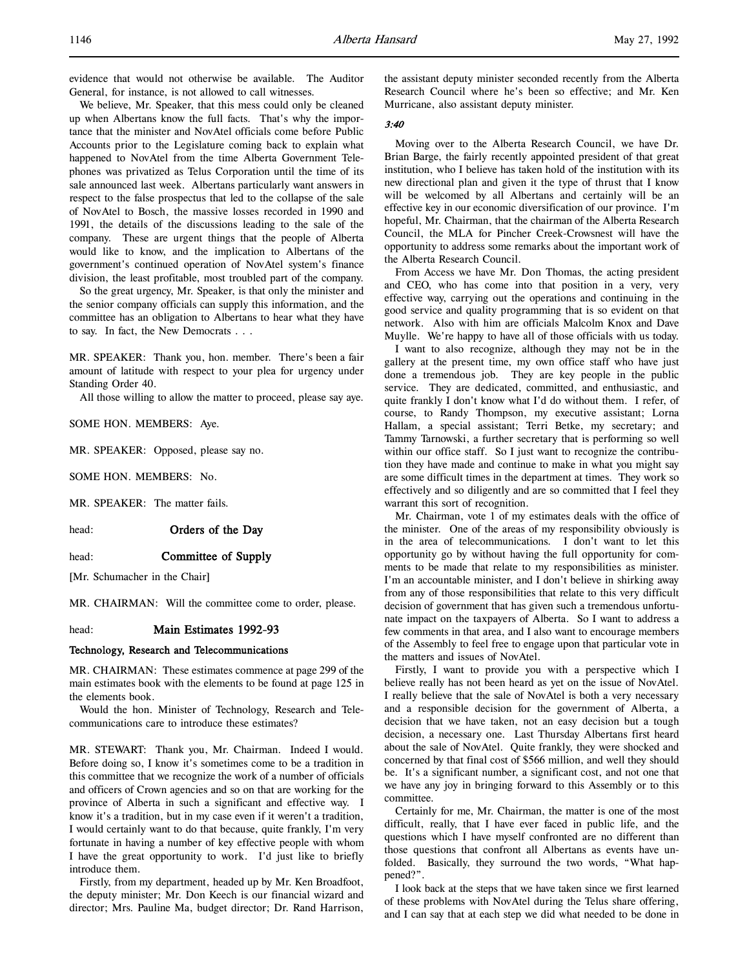evidence that would not otherwise be available. The Auditor General, for instance, is not allowed to call witnesses.

We believe, Mr. Speaker, that this mess could only be cleaned up when Albertans know the full facts. That's why the importance that the minister and NovAtel officials come before Public Accounts prior to the Legislature coming back to explain what happened to NovAtel from the time Alberta Government Telephones was privatized as Telus Corporation until the time of its sale announced last week. Albertans particularly want answers in respect to the false prospectus that led to the collapse of the sale of NovAtel to Bosch, the massive losses recorded in 1990 and 1991, the details of the discussions leading to the sale of the company. These are urgent things that the people of Alberta would like to know, and the implication to Albertans of the government's continued operation of NovAtel system's finance division, the least profitable, most troubled part of the company.

So the great urgency, Mr. Speaker, is that only the minister and the senior company officials can supply this information, and the committee has an obligation to Albertans to hear what they have to say. In fact, the New Democrats . . .

MR. SPEAKER: Thank you, hon. member. There's been a fair amount of latitude with respect to your plea for urgency under Standing Order 40.

All those willing to allow the matter to proceed, please say aye.

SOME HON. MEMBERS: Aye.

MR. SPEAKER: Opposed, please say no.

SOME HON. MEMBERS: No.

MR. SPEAKER: The matter fails.

head: **Orders of the Day** 

## head: **Committee of Supply**

[Mr. Schumacher in the Chair]

MR. CHAIRMAN: Will the committee come to order, please.

## head: Main Estimates 1992-93

#### Technology, Research and Telecommunications

MR. CHAIRMAN: These estimates commence at page 299 of the main estimates book with the elements to be found at page 125 in the elements book.

Would the hon. Minister of Technology, Research and Telecommunications care to introduce these estimates?

MR. STEWART: Thank you, Mr. Chairman. Indeed I would. Before doing so, I know it's sometimes come to be a tradition in this committee that we recognize the work of a number of officials and officers of Crown agencies and so on that are working for the province of Alberta in such a significant and effective way. I know it's a tradition, but in my case even if it weren't a tradition, I would certainly want to do that because, quite frankly, I'm very fortunate in having a number of key effective people with whom I have the great opportunity to work. I'd just like to briefly introduce them.

Firstly, from my department, headed up by Mr. Ken Broadfoot, the deputy minister; Mr. Don Keech is our financial wizard and director; Mrs. Pauline Ma, budget director; Dr. Rand Harrison, the assistant deputy minister seconded recently from the Alberta Research Council where he's been so effective; and Mr. Ken Murricane, also assistant deputy minister.

## 3:40

Moving over to the Alberta Research Council, we have Dr. Brian Barge, the fairly recently appointed president of that great institution, who I believe has taken hold of the institution with its new directional plan and given it the type of thrust that I know will be welcomed by all Albertans and certainly will be an effective key in our economic diversification of our province. I'm hopeful, Mr. Chairman, that the chairman of the Alberta Research Council, the MLA for Pincher Creek-Crowsnest will have the opportunity to address some remarks about the important work of the Alberta Research Council.

From Access we have Mr. Don Thomas, the acting president and CEO, who has come into that position in a very, very effective way, carrying out the operations and continuing in the good service and quality programming that is so evident on that network. Also with him are officials Malcolm Knox and Dave Muylle. We're happy to have all of those officials with us today.

I want to also recognize, although they may not be in the gallery at the present time, my own office staff who have just done a tremendous job. They are key people in the public service. They are dedicated, committed, and enthusiastic, and quite frankly I don't know what I'd do without them. I refer, of course, to Randy Thompson, my executive assistant; Lorna Hallam, a special assistant; Terri Betke, my secretary; and Tammy Tarnowski, a further secretary that is performing so well within our office staff. So I just want to recognize the contribution they have made and continue to make in what you might say are some difficult times in the department at times. They work so effectively and so diligently and are so committed that I feel they warrant this sort of recognition.

Mr. Chairman, vote 1 of my estimates deals with the office of the minister. One of the areas of my responsibility obviously is in the area of telecommunications. I don't want to let this opportunity go by without having the full opportunity for comments to be made that relate to my responsibilities as minister. I'm an accountable minister, and I don't believe in shirking away from any of those responsibilities that relate to this very difficult decision of government that has given such a tremendous unfortunate impact on the taxpayers of Alberta. So I want to address a few comments in that area, and I also want to encourage members of the Assembly to feel free to engage upon that particular vote in the matters and issues of NovAtel.

Firstly, I want to provide you with a perspective which I believe really has not been heard as yet on the issue of NovAtel. I really believe that the sale of NovAtel is both a very necessary and a responsible decision for the government of Alberta, a decision that we have taken, not an easy decision but a tough decision, a necessary one. Last Thursday Albertans first heard about the sale of NovAtel. Quite frankly, they were shocked and concerned by that final cost of \$566 million, and well they should be. It's a significant number, a significant cost, and not one that we have any joy in bringing forward to this Assembly or to this committee.

Certainly for me, Mr. Chairman, the matter is one of the most difficult, really, that I have ever faced in public life, and the questions which I have myself confronted are no different than those questions that confront all Albertans as events have unfolded. Basically, they surround the two words, "What happened?".

I look back at the steps that we have taken since we first learned of these problems with NovAtel during the Telus share offering, and I can say that at each step we did what needed to be done in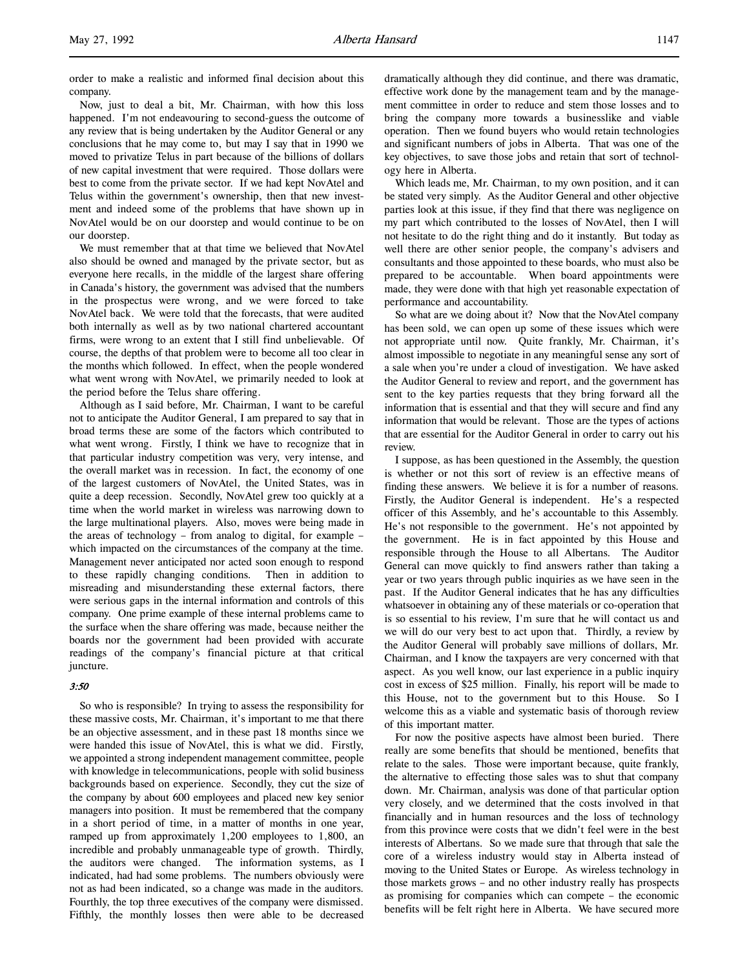order to make a realistic and informed final decision about this company.

Now, just to deal a bit, Mr. Chairman, with how this loss happened. I'm not endeavouring to second-guess the outcome of any review that is being undertaken by the Auditor General or any conclusions that he may come to, but may I say that in 1990 we moved to privatize Telus in part because of the billions of dollars of new capital investment that were required. Those dollars were best to come from the private sector. If we had kept NovAtel and Telus within the government's ownership, then that new investment and indeed some of the problems that have shown up in NovAtel would be on our doorstep and would continue to be on our doorstep.

We must remember that at that time we believed that NovAtel also should be owned and managed by the private sector, but as everyone here recalls, in the middle of the largest share offering in Canada's history, the government was advised that the numbers in the prospectus were wrong, and we were forced to take NovAtel back. We were told that the forecasts, that were audited both internally as well as by two national chartered accountant firms, were wrong to an extent that I still find unbelievable. Of course, the depths of that problem were to become all too clear in the months which followed. In effect, when the people wondered what went wrong with NovAtel, we primarily needed to look at the period before the Telus share offering.

Although as I said before, Mr. Chairman, I want to be careful not to anticipate the Auditor General, I am prepared to say that in broad terms these are some of the factors which contributed to what went wrong. Firstly, I think we have to recognize that in that particular industry competition was very, very intense, and the overall market was in recession. In fact, the economy of one of the largest customers of NovAtel, the United States, was in quite a deep recession. Secondly, NovAtel grew too quickly at a time when the world market in wireless was narrowing down to the large multinational players. Also, moves were being made in the areas of technology – from analog to digital, for example – which impacted on the circumstances of the company at the time. Management never anticipated nor acted soon enough to respond to these rapidly changing conditions. Then in addition to misreading and misunderstanding these external factors, there were serious gaps in the internal information and controls of this company. One prime example of these internal problems came to the surface when the share offering was made, because neither the boards nor the government had been provided with accurate readings of the company's financial picture at that critical juncture.

## 3:50

So who is responsible? In trying to assess the responsibility for these massive costs, Mr. Chairman, it's important to me that there be an objective assessment, and in these past 18 months since we were handed this issue of NovAtel, this is what we did. Firstly, we appointed a strong independent management committee, people with knowledge in telecommunications, people with solid business backgrounds based on experience. Secondly, they cut the size of the company by about 600 employees and placed new key senior managers into position. It must be remembered that the company in a short period of time, in a matter of months in one year, ramped up from approximately 1,200 employees to 1,800, an incredible and probably unmanageable type of growth. Thirdly, the auditors were changed. The information systems, as I indicated, had had some problems. The numbers obviously were not as had been indicated, so a change was made in the auditors. Fourthly, the top three executives of the company were dismissed. Fifthly, the monthly losses then were able to be decreased

dramatically although they did continue, and there was dramatic, effective work done by the management team and by the management committee in order to reduce and stem those losses and to bring the company more towards a businesslike and viable operation. Then we found buyers who would retain technologies and significant numbers of jobs in Alberta. That was one of the key objectives, to save those jobs and retain that sort of technology here in Alberta.

Which leads me, Mr. Chairman, to my own position, and it can be stated very simply. As the Auditor General and other objective parties look at this issue, if they find that there was negligence on my part which contributed to the losses of NovAtel, then I will not hesitate to do the right thing and do it instantly. But today as well there are other senior people, the company's advisers and consultants and those appointed to these boards, who must also be prepared to be accountable. When board appointments were made, they were done with that high yet reasonable expectation of performance and accountability.

So what are we doing about it? Now that the NovAtel company has been sold, we can open up some of these issues which were not appropriate until now. Quite frankly, Mr. Chairman, it's almost impossible to negotiate in any meaningful sense any sort of a sale when you're under a cloud of investigation. We have asked the Auditor General to review and report, and the government has sent to the key parties requests that they bring forward all the information that is essential and that they will secure and find any information that would be relevant. Those are the types of actions that are essential for the Auditor General in order to carry out his review.

I suppose, as has been questioned in the Assembly, the question is whether or not this sort of review is an effective means of finding these answers. We believe it is for a number of reasons. Firstly, the Auditor General is independent. He's a respected officer of this Assembly, and he's accountable to this Assembly. He's not responsible to the government. He's not appointed by the government. He is in fact appointed by this House and responsible through the House to all Albertans. The Auditor General can move quickly to find answers rather than taking a year or two years through public inquiries as we have seen in the past. If the Auditor General indicates that he has any difficulties whatsoever in obtaining any of these materials or co-operation that is so essential to his review, I'm sure that he will contact us and we will do our very best to act upon that. Thirdly, a review by the Auditor General will probably save millions of dollars, Mr. Chairman, and I know the taxpayers are very concerned with that aspect. As you well know, our last experience in a public inquiry cost in excess of \$25 million. Finally, his report will be made to this House, not to the government but to this House. So I welcome this as a viable and systematic basis of thorough review of this important matter.

For now the positive aspects have almost been buried. There really are some benefits that should be mentioned, benefits that relate to the sales. Those were important because, quite frankly, the alternative to effecting those sales was to shut that company down. Mr. Chairman, analysis was done of that particular option very closely, and we determined that the costs involved in that financially and in human resources and the loss of technology from this province were costs that we didn't feel were in the best interests of Albertans. So we made sure that through that sale the core of a wireless industry would stay in Alberta instead of moving to the United States or Europe. As wireless technology in those markets grows – and no other industry really has prospects as promising for companies which can compete – the economic benefits will be felt right here in Alberta. We have secured more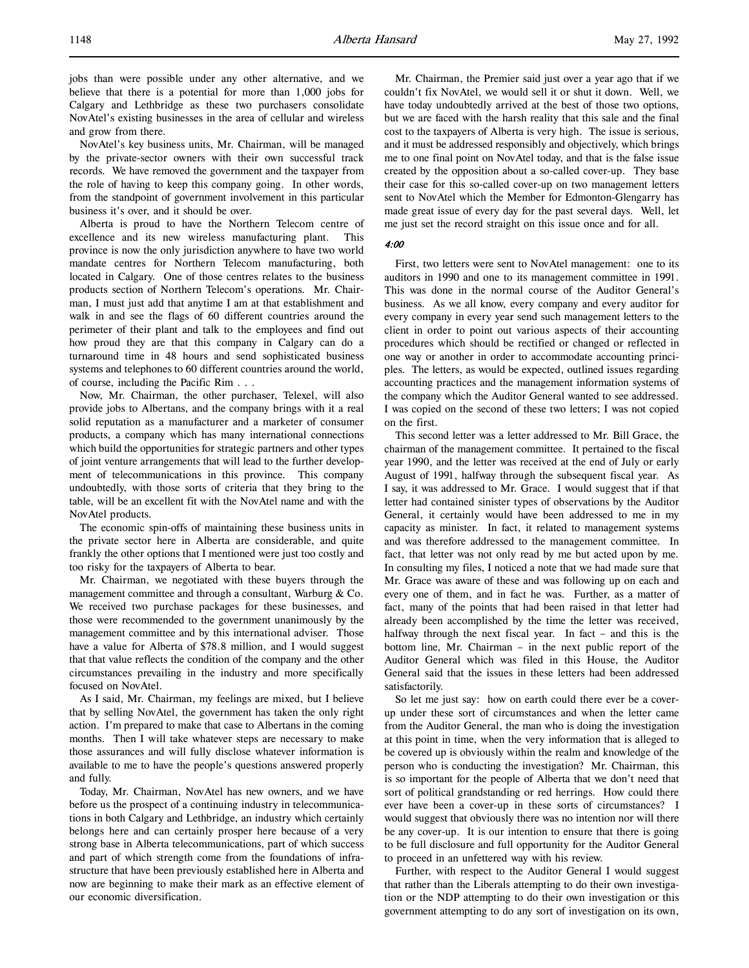jobs than were possible under any other alternative, and we believe that there is a potential for more than 1,000 jobs for Calgary and Lethbridge as these two purchasers consolidate NovAtel's existing businesses in the area of cellular and wireless and grow from there.

NovAtel's key business units, Mr. Chairman, will be managed by the private-sector owners with their own successful track records. We have removed the government and the taxpayer from the role of having to keep this company going. In other words, from the standpoint of government involvement in this particular business it's over, and it should be over.

Alberta is proud to have the Northern Telecom centre of excellence and its new wireless manufacturing plant. This province is now the only jurisdiction anywhere to have two world mandate centres for Northern Telecom manufacturing, both located in Calgary. One of those centres relates to the business products section of Northern Telecom's operations. Mr. Chairman, I must just add that anytime I am at that establishment and walk in and see the flags of 60 different countries around the perimeter of their plant and talk to the employees and find out how proud they are that this company in Calgary can do a turnaround time in 48 hours and send sophisticated business systems and telephones to 60 different countries around the world, of course, including the Pacific Rim . . .

Now, Mr. Chairman, the other purchaser, Telexel, will also provide jobs to Albertans, and the company brings with it a real solid reputation as a manufacturer and a marketer of consumer products, a company which has many international connections which build the opportunities for strategic partners and other types of joint venture arrangements that will lead to the further development of telecommunications in this province. This company undoubtedly, with those sorts of criteria that they bring to the table, will be an excellent fit with the NovAtel name and with the NovAtel products.

The economic spin-offs of maintaining these business units in the private sector here in Alberta are considerable, and quite frankly the other options that I mentioned were just too costly and too risky for the taxpayers of Alberta to bear.

Mr. Chairman, we negotiated with these buyers through the management committee and through a consultant, Warburg & Co. We received two purchase packages for these businesses, and those were recommended to the government unanimously by the management committee and by this international adviser. Those have a value for Alberta of \$78.8 million, and I would suggest that that value reflects the condition of the company and the other circumstances prevailing in the industry and more specifically focused on NovAtel.

As I said, Mr. Chairman, my feelings are mixed, but I believe that by selling NovAtel, the government has taken the only right action. I'm prepared to make that case to Albertans in the coming months. Then I will take whatever steps are necessary to make those assurances and will fully disclose whatever information is available to me to have the people's questions answered properly and fully.

Today, Mr. Chairman, NovAtel has new owners, and we have before us the prospect of a continuing industry in telecommunications in both Calgary and Lethbridge, an industry which certainly belongs here and can certainly prosper here because of a very strong base in Alberta telecommunications, part of which success and part of which strength come from the foundations of infrastructure that have been previously established here in Alberta and now are beginning to make their mark as an effective element of our economic diversification.

Mr. Chairman, the Premier said just over a year ago that if we couldn't fix NovAtel, we would sell it or shut it down. Well, we have today undoubtedly arrived at the best of those two options, but we are faced with the harsh reality that this sale and the final cost to the taxpayers of Alberta is very high. The issue is serious, and it must be addressed responsibly and objectively, which brings me to one final point on NovAtel today, and that is the false issue created by the opposition about a so-called cover-up. They base their case for this so-called cover-up on two management letters sent to NovAtel which the Member for Edmonton-Glengarry has made great issue of every day for the past several days. Well, let me just set the record straight on this issue once and for all.

### 4:00

First, two letters were sent to NovAtel management: one to its auditors in 1990 and one to its management committee in 1991. This was done in the normal course of the Auditor General's business. As we all know, every company and every auditor for every company in every year send such management letters to the client in order to point out various aspects of their accounting procedures which should be rectified or changed or reflected in one way or another in order to accommodate accounting principles. The letters, as would be expected, outlined issues regarding accounting practices and the management information systems of the company which the Auditor General wanted to see addressed. I was copied on the second of these two letters; I was not copied on the first.

This second letter was a letter addressed to Mr. Bill Grace, the chairman of the management committee. It pertained to the fiscal year 1990, and the letter was received at the end of July or early August of 1991, halfway through the subsequent fiscal year. As I say, it was addressed to Mr. Grace. I would suggest that if that letter had contained sinister types of observations by the Auditor General, it certainly would have been addressed to me in my capacity as minister. In fact, it related to management systems and was therefore addressed to the management committee. In fact, that letter was not only read by me but acted upon by me. In consulting my files, I noticed a note that we had made sure that Mr. Grace was aware of these and was following up on each and every one of them, and in fact he was. Further, as a matter of fact, many of the points that had been raised in that letter had already been accomplished by the time the letter was received, halfway through the next fiscal year. In fact – and this is the bottom line, Mr. Chairman – in the next public report of the Auditor General which was filed in this House, the Auditor General said that the issues in these letters had been addressed satisfactorily.

So let me just say: how on earth could there ever be a coverup under these sort of circumstances and when the letter came from the Auditor General, the man who is doing the investigation at this point in time, when the very information that is alleged to be covered up is obviously within the realm and knowledge of the person who is conducting the investigation? Mr. Chairman, this is so important for the people of Alberta that we don't need that sort of political grandstanding or red herrings. How could there ever have been a cover-up in these sorts of circumstances? I would suggest that obviously there was no intention nor will there be any cover-up. It is our intention to ensure that there is going to be full disclosure and full opportunity for the Auditor General to proceed in an unfettered way with his review.

Further, with respect to the Auditor General I would suggest that rather than the Liberals attempting to do their own investigation or the NDP attempting to do their own investigation or this government attempting to do any sort of investigation on its own,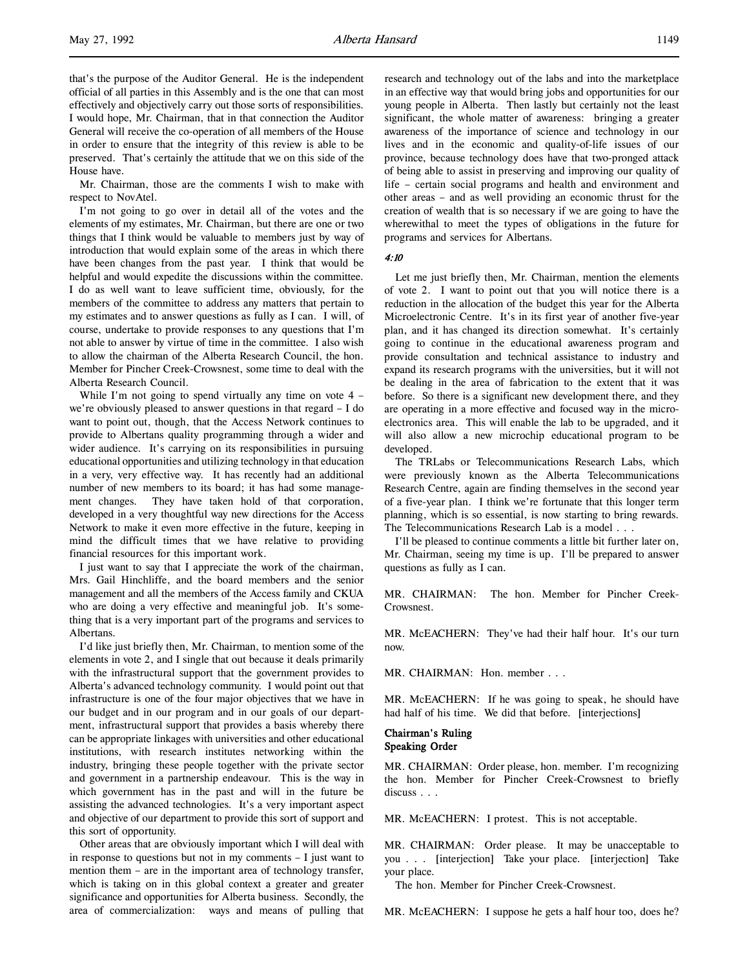that's the purpose of the Auditor General. He is the independent official of all parties in this Assembly and is the one that can most effectively and objectively carry out those sorts of responsibilities. I would hope, Mr. Chairman, that in that connection the Auditor General will receive the co-operation of all members of the House in order to ensure that the integrity of this review is able to be preserved. That's certainly the attitude that we on this side of the House have.

Mr. Chairman, those are the comments I wish to make with respect to NovAtel.

I'm not going to go over in detail all of the votes and the elements of my estimates, Mr. Chairman, but there are one or two things that I think would be valuable to members just by way of introduction that would explain some of the areas in which there have been changes from the past year. I think that would be helpful and would expedite the discussions within the committee. I do as well want to leave sufficient time, obviously, for the members of the committee to address any matters that pertain to my estimates and to answer questions as fully as I can. I will, of course, undertake to provide responses to any questions that I'm not able to answer by virtue of time in the committee. I also wish to allow the chairman of the Alberta Research Council, the hon. Member for Pincher Creek-Crowsnest, some time to deal with the Alberta Research Council.

While I'm not going to spend virtually any time on vote 4 – we're obviously pleased to answer questions in that regard – I do want to point out, though, that the Access Network continues to provide to Albertans quality programming through a wider and wider audience. It's carrying on its responsibilities in pursuing educational opportunities and utilizing technology in that education in a very, very effective way. It has recently had an additional number of new members to its board; it has had some management changes. They have taken hold of that corporation, developed in a very thoughtful way new directions for the Access Network to make it even more effective in the future, keeping in mind the difficult times that we have relative to providing financial resources for this important work.

I just want to say that I appreciate the work of the chairman, Mrs. Gail Hinchliffe, and the board members and the senior management and all the members of the Access family and CKUA who are doing a very effective and meaningful job. It's something that is a very important part of the programs and services to Albertans.

I'd like just briefly then, Mr. Chairman, to mention some of the elements in vote 2, and I single that out because it deals primarily with the infrastructural support that the government provides to Alberta's advanced technology community. I would point out that infrastructure is one of the four major objectives that we have in our budget and in our program and in our goals of our department, infrastructural support that provides a basis whereby there can be appropriate linkages with universities and other educational institutions, with research institutes networking within the industry, bringing these people together with the private sector and government in a partnership endeavour. This is the way in which government has in the past and will in the future be assisting the advanced technologies. It's a very important aspect and objective of our department to provide this sort of support and this sort of opportunity.

Other areas that are obviously important which I will deal with in response to questions but not in my comments  $- I$  just want to mention them – are in the important area of technology transfer, which is taking on in this global context a greater and greater significance and opportunities for Alberta business. Secondly, the area of commercialization: ways and means of pulling that research and technology out of the labs and into the marketplace in an effective way that would bring jobs and opportunities for our young people in Alberta. Then lastly but certainly not the least significant, the whole matter of awareness: bringing a greater awareness of the importance of science and technology in our lives and in the economic and quality-of-life issues of our province, because technology does have that two-pronged attack of being able to assist in preserving and improving our quality of life – certain social programs and health and environment and other areas – and as well providing an economic thrust for the creation of wealth that is so necessary if we are going to have the wherewithal to meet the types of obligations in the future for programs and services for Albertans.

4:10

Let me just briefly then, Mr. Chairman, mention the elements of vote 2. I want to point out that you will notice there is a reduction in the allocation of the budget this year for the Alberta Microelectronic Centre. It's in its first year of another five-year plan, and it has changed its direction somewhat. It's certainly going to continue in the educational awareness program and provide consultation and technical assistance to industry and expand its research programs with the universities, but it will not be dealing in the area of fabrication to the extent that it was before. So there is a significant new development there, and they are operating in a more effective and focused way in the microelectronics area. This will enable the lab to be upgraded, and it will also allow a new microchip educational program to be developed.

The TRLabs or Telecommunications Research Labs, which were previously known as the Alberta Telecommunications Research Centre, again are finding themselves in the second year of a five-year plan. I think we're fortunate that this longer term planning, which is so essential, is now starting to bring rewards. The Telecommunications Research Lab is a model . . .

I'll be pleased to continue comments a little bit further later on, Mr. Chairman, seeing my time is up. I'll be prepared to answer questions as fully as I can.

MR. CHAIRMAN: The hon. Member for Pincher Creek-**Crowsnest**.

MR. McEACHERN: They've had their half hour. It's our turn now.

MR. CHAIRMAN: Hon. member . . .

MR. McEACHERN: If he was going to speak, he should have had half of his time. We did that before. [interjections]

# Chairman's Ruling Speaking Order

MR. CHAIRMAN: Order please, hon. member. I'm recognizing the hon. Member for Pincher Creek-Crowsnest to briefly discuss . . .

MR. McEACHERN: I protest. This is not acceptable.

MR. CHAIRMAN: Order please. It may be unacceptable to you . . . [interjection] Take your place. [interjection] Take your place.

The hon. Member for Pincher Creek-Crowsnest.

MR. McEACHERN: I suppose he gets a half hour too, does he?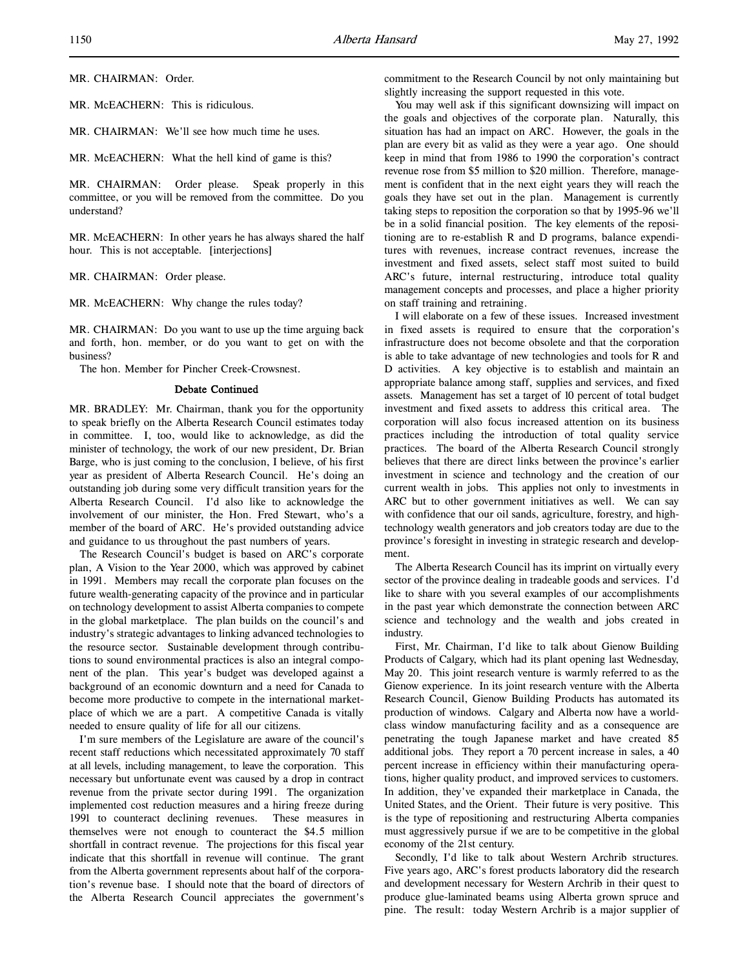MR. CHAIRMAN: Order.

MR. McEACHERN: This is ridiculous.

MR. CHAIRMAN: We'll see how much time he uses.

MR. McEACHERN: What the hell kind of game is this?

MR. CHAIRMAN: Order please. Speak properly in this committee, or you will be removed from the committee. Do you understand?

MR. McEACHERN: In other years he has always shared the half hour. This is not acceptable. [interjections]

MR. CHAIRMAN: Order please.

MR. McEACHERN: Why change the rules today?

MR. CHAIRMAN: Do you want to use up the time arguing back and forth, hon. member, or do you want to get on with the business?

The hon. Member for Pincher Creek-Crowsnest.

#### Debate Continued

MR. BRADLEY: Mr. Chairman, thank you for the opportunity to speak briefly on the Alberta Research Council estimates today in committee. I, too, would like to acknowledge, as did the minister of technology, the work of our new president, Dr. Brian Barge, who is just coming to the conclusion, I believe, of his first year as president of Alberta Research Council. He's doing an outstanding job during some very difficult transition years for the Alberta Research Council. I'd also like to acknowledge the involvement of our minister, the Hon. Fred Stewart, who's a member of the board of ARC. He's provided outstanding advice and guidance to us throughout the past numbers of years.

The Research Council's budget is based on ARC's corporate plan, A Vision to the Year 2000, which was approved by cabinet in 1991. Members may recall the corporate plan focuses on the future wealth-generating capacity of the province and in particular on technology development to assist Alberta companies to compete in the global marketplace. The plan builds on the council's and industry's strategic advantages to linking advanced technologies to the resource sector. Sustainable development through contributions to sound environmental practices is also an integral component of the plan. This year's budget was developed against a background of an economic downturn and a need for Canada to become more productive to compete in the international marketplace of which we are a part. A competitive Canada is vitally needed to ensure quality of life for all our citizens.

I'm sure members of the Legislature are aware of the council's recent staff reductions which necessitated approximately 70 staff at all levels, including management, to leave the corporation. This necessary but unfortunate event was caused by a drop in contract revenue from the private sector during 1991. The organization implemented cost reduction measures and a hiring freeze during 1991 to counteract declining revenues. These measures in themselves were not enough to counteract the \$4.5 million shortfall in contract revenue. The projections for this fiscal year indicate that this shortfall in revenue will continue. The grant from the Alberta government represents about half of the corporation's revenue base. I should note that the board of directors of the Alberta Research Council appreciates the government's

commitment to the Research Council by not only maintaining but slightly increasing the support requested in this vote.

You may well ask if this significant downsizing will impact on the goals and objectives of the corporate plan. Naturally, this situation has had an impact on ARC. However, the goals in the plan are every bit as valid as they were a year ago. One should keep in mind that from 1986 to 1990 the corporation's contract revenue rose from \$5 million to \$20 million. Therefore, management is confident that in the next eight years they will reach the goals they have set out in the plan. Management is currently taking steps to reposition the corporation so that by 1995-96 we'll be in a solid financial position. The key elements of the repositioning are to re-establish R and D programs, balance expenditures with revenues, increase contract revenues, increase the investment and fixed assets, select staff most suited to build ARC's future, internal restructuring, introduce total quality management concepts and processes, and place a higher priority on staff training and retraining.

I will elaborate on a few of these issues. Increased investment in fixed assets is required to ensure that the corporation's infrastructure does not become obsolete and that the corporation is able to take advantage of new technologies and tools for R and D activities. A key objective is to establish and maintain an appropriate balance among staff, supplies and services, and fixed assets. Management has set a target of 10 percent of total budget investment and fixed assets to address this critical area. The corporation will also focus increased attention on its business practices including the introduction of total quality service practices. The board of the Alberta Research Council strongly believes that there are direct links between the province's earlier investment in science and technology and the creation of our current wealth in jobs. This applies not only to investments in ARC but to other government initiatives as well. We can say with confidence that our oil sands, agriculture, forestry, and hightechnology wealth generators and job creators today are due to the province's foresight in investing in strategic research and development.

The Alberta Research Council has its imprint on virtually every sector of the province dealing in tradeable goods and services. I'd like to share with you several examples of our accomplishments in the past year which demonstrate the connection between ARC science and technology and the wealth and jobs created in industry.

First, Mr. Chairman, I'd like to talk about Gienow Building Products of Calgary, which had its plant opening last Wednesday, May 20. This joint research venture is warmly referred to as the Gienow experience. In its joint research venture with the Alberta Research Council, Gienow Building Products has automated its production of windows. Calgary and Alberta now have a worldclass window manufacturing facility and as a consequence are penetrating the tough Japanese market and have created 85 additional jobs. They report a 70 percent increase in sales, a 40 percent increase in efficiency within their manufacturing operations, higher quality product, and improved services to customers. In addition, they've expanded their marketplace in Canada, the United States, and the Orient. Their future is very positive. This is the type of repositioning and restructuring Alberta companies must aggressively pursue if we are to be competitive in the global economy of the 21st century.

Secondly, I'd like to talk about Western Archrib structures. Five years ago, ARC's forest products laboratory did the research and development necessary for Western Archrib in their quest to produce glue-laminated beams using Alberta grown spruce and pine. The result: today Western Archrib is a major supplier of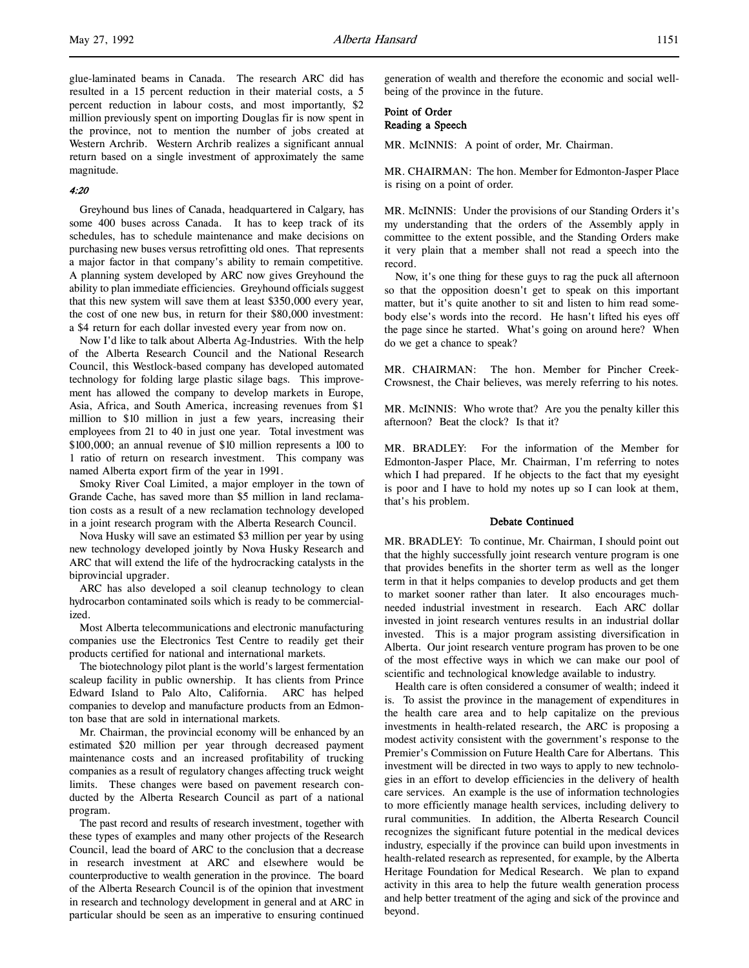glue-laminated beams in Canada. The research ARC did has resulted in a 15 percent reduction in their material costs, a 5 percent reduction in labour costs, and most importantly, \$2 million previously spent on importing Douglas fir is now spent in the province, not to mention the number of jobs created at Western Archrib. Western Archrib realizes a significant annual return based on a single investment of approximately the same magnitude.

### 4:20

Greyhound bus lines of Canada, headquartered in Calgary, has some 400 buses across Canada. It has to keep track of its schedules, has to schedule maintenance and make decisions on purchasing new buses versus retrofitting old ones. That represents a major factor in that company's ability to remain competitive. A planning system developed by ARC now gives Greyhound the ability to plan immediate efficiencies. Greyhound officials suggest that this new system will save them at least \$350,000 every year, the cost of one new bus, in return for their \$80,000 investment: a \$4 return for each dollar invested every year from now on.

Now I'd like to talk about Alberta Ag-Industries. With the help of the Alberta Research Council and the National Research Council, this Westlock-based company has developed automated technology for folding large plastic silage bags. This improvement has allowed the company to develop markets in Europe, Asia, Africa, and South America, increasing revenues from \$1 million to \$10 million in just a few years, increasing their employees from 21 to 40 in just one year. Total investment was \$100,000; an annual revenue of \$10 million represents a 100 to 1 ratio of return on research investment. This company was named Alberta export firm of the year in 1991.

Smoky River Coal Limited, a major employer in the town of Grande Cache, has saved more than \$5 million in land reclamation costs as a result of a new reclamation technology developed in a joint research program with the Alberta Research Council.

Nova Husky will save an estimated \$3 million per year by using new technology developed jointly by Nova Husky Research and ARC that will extend the life of the hydrocracking catalysts in the biprovincial upgrader.

ARC has also developed a soil cleanup technology to clean hydrocarbon contaminated soils which is ready to be commercialized.

Most Alberta telecommunications and electronic manufacturing companies use the Electronics Test Centre to readily get their products certified for national and international markets.

The biotechnology pilot plant is the world's largest fermentation scaleup facility in public ownership. It has clients from Prince Edward Island to Palo Alto, California. ARC has helped companies to develop and manufacture products from an Edmonton base that are sold in international markets.

Mr. Chairman, the provincial economy will be enhanced by an estimated \$20 million per year through decreased payment maintenance costs and an increased profitability of trucking companies as a result of regulatory changes affecting truck weight limits. These changes were based on pavement research conducted by the Alberta Research Council as part of a national program.

The past record and results of research investment, together with these types of examples and many other projects of the Research Council, lead the board of ARC to the conclusion that a decrease in research investment at ARC and elsewhere would be counterproductive to wealth generation in the province. The board of the Alberta Research Council is of the opinion that investment in research and technology development in general and at ARC in particular should be seen as an imperative to ensuring continued

generation of wealth and therefore the economic and social wellbeing of the province in the future.

# Point of Order Reading a Speech

MR. McINNIS: A point of order, Mr. Chairman.

MR. CHAIRMAN: The hon. Member for Edmonton-Jasper Place is rising on a point of order.

MR. McINNIS: Under the provisions of our Standing Orders it's my understanding that the orders of the Assembly apply in committee to the extent possible, and the Standing Orders make it very plain that a member shall not read a speech into the record.

Now, it's one thing for these guys to rag the puck all afternoon so that the opposition doesn't get to speak on this important matter, but it's quite another to sit and listen to him read somebody else's words into the record. He hasn't lifted his eyes off the page since he started. What's going on around here? When do we get a chance to speak?

MR. CHAIRMAN: The hon. Member for Pincher Creek-Crowsnest, the Chair believes, was merely referring to his notes.

MR. McINNIS: Who wrote that? Are you the penalty killer this afternoon? Beat the clock? Is that it?

MR. BRADLEY: For the information of the Member for Edmonton-Jasper Place, Mr. Chairman, I'm referring to notes which I had prepared. If he objects to the fact that my eyesight is poor and I have to hold my notes up so I can look at them, that's his problem.

#### Debate Continued

MR. BRADLEY: To continue, Mr. Chairman, I should point out that the highly successfully joint research venture program is one that provides benefits in the shorter term as well as the longer term in that it helps companies to develop products and get them to market sooner rather than later. It also encourages muchneeded industrial investment in research. Each ARC dollar invested in joint research ventures results in an industrial dollar invested. This is a major program assisting diversification in Alberta. Our joint research venture program has proven to be one of the most effective ways in which we can make our pool of scientific and technological knowledge available to industry.

Health care is often considered a consumer of wealth; indeed it is. To assist the province in the management of expenditures in the health care area and to help capitalize on the previous investments in health-related research, the ARC is proposing a modest activity consistent with the government's response to the Premier's Commission on Future Health Care for Albertans. This investment will be directed in two ways to apply to new technologies in an effort to develop efficiencies in the delivery of health care services. An example is the use of information technologies to more efficiently manage health services, including delivery to rural communities. In addition, the Alberta Research Council recognizes the significant future potential in the medical devices industry, especially if the province can build upon investments in health-related research as represented, for example, by the Alberta Heritage Foundation for Medical Research. We plan to expand activity in this area to help the future wealth generation process and help better treatment of the aging and sick of the province and beyond.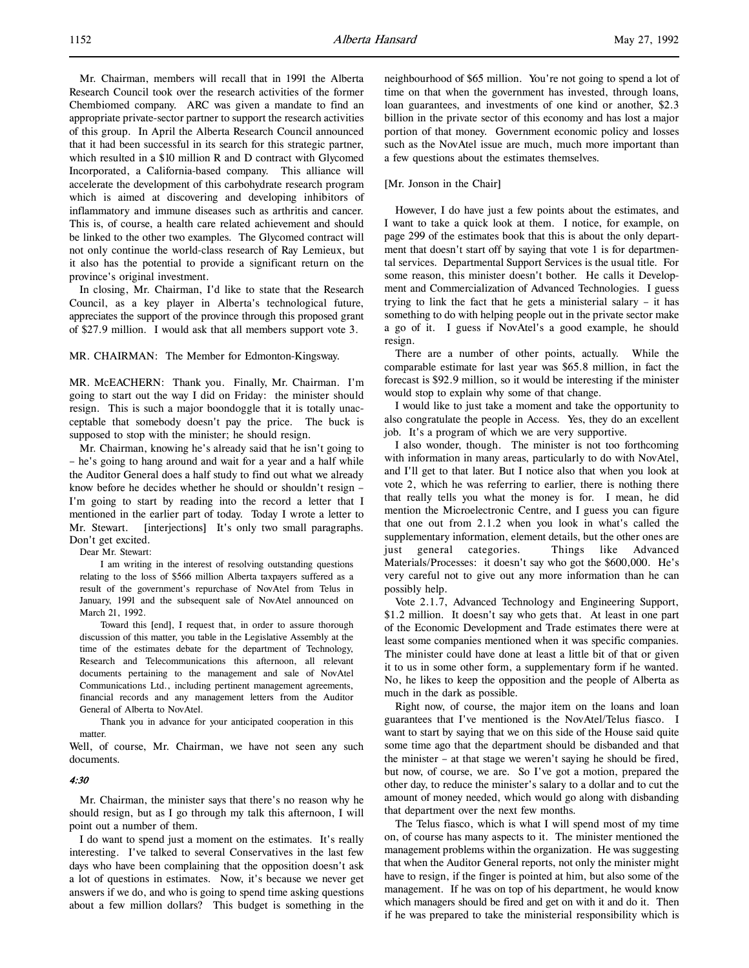Mr. Chairman, members will recall that in 1991 the Alberta Research Council took over the research activities of the former Chembiomed company. ARC was given a mandate to find an appropriate private-sector partner to support the research activities of this group. In April the Alberta Research Council announced that it had been successful in its search for this strategic partner, which resulted in a \$10 million R and D contract with Glycomed Incorporated, a California-based company. This alliance will accelerate the development of this carbohydrate research program which is aimed at discovering and developing inhibitors of inflammatory and immune diseases such as arthritis and cancer. This is, of course, a health care related achievement and should be linked to the other two examples. The Glycomed contract will not only continue the world-class research of Ray Lemieux, but it also has the potential to provide a significant return on the province's original investment.

In closing, Mr. Chairman, I'd like to state that the Research Council, as a key player in Alberta's technological future, appreciates the support of the province through this proposed grant of \$27.9 million. I would ask that all members support vote 3.

MR. CHAIRMAN: The Member for Edmonton-Kingsway.

MR. McEACHERN: Thank you. Finally, Mr. Chairman. I'm going to start out the way I did on Friday: the minister should resign. This is such a major boondoggle that it is totally unacceptable that somebody doesn't pay the price. The buck is supposed to stop with the minister; he should resign.

Mr. Chairman, knowing he's already said that he isn't going to – he's going to hang around and wait for a year and a half while the Auditor General does a half study to find out what we already know before he decides whether he should or shouldn't resign – I'm going to start by reading into the record a letter that I mentioned in the earlier part of today. Today I wrote a letter to Mr. Stewart. [interjections] It's only two small paragraphs. Don't get excited.

Dear Mr. Stewart:

I am writing in the interest of resolving outstanding questions relating to the loss of \$566 million Alberta taxpayers suffered as a result of the government's repurchase of NovAtel from Telus in January, 1991 and the subsequent sale of NovAtel announced on March 21, 1992.

Toward this [end], I request that, in order to assure thorough discussion of this matter, you table in the Legislative Assembly at the time of the estimates debate for the department of Technology, Research and Telecommunications this afternoon, all relevant documents pertaining to the management and sale of NovAtel Communications Ltd., including pertinent management agreements, financial records and any management letters from the Auditor General of Alberta to NovAtel.

Thank you in advance for your anticipated cooperation in this matter.

Well, of course, Mr. Chairman, we have not seen any such documents.

# 4:30

Mr. Chairman, the minister says that there's no reason why he should resign, but as I go through my talk this afternoon, I will point out a number of them.

I do want to spend just a moment on the estimates. It's really interesting. I've talked to several Conservatives in the last few days who have been complaining that the opposition doesn't ask a lot of questions in estimates. Now, it's because we never get answers if we do, and who is going to spend time asking questions about a few million dollars? This budget is something in the

neighbourhood of \$65 million. You're not going to spend a lot of time on that when the government has invested, through loans, loan guarantees, and investments of one kind or another, \$2.3 billion in the private sector of this economy and has lost a major portion of that money. Government economic policy and losses such as the NovAtel issue are much, much more important than a few questions about the estimates themselves.

### [Mr. Jonson in the Chair]

However, I do have just a few points about the estimates, and I want to take a quick look at them. I notice, for example, on page 299 of the estimates book that this is about the only department that doesn't start off by saying that vote 1 is for departmental services. Departmental Support Services is the usual title. For some reason, this minister doesn't bother. He calls it Development and Commercialization of Advanced Technologies. I guess trying to link the fact that he gets a ministerial salary – it has something to do with helping people out in the private sector make a go of it. I guess if NovAtel's a good example, he should resign.

There are a number of other points, actually. While the comparable estimate for last year was \$65.8 million, in fact the forecast is \$92.9 million, so it would be interesting if the minister would stop to explain why some of that change.

I would like to just take a moment and take the opportunity to also congratulate the people in Access. Yes, they do an excellent job. It's a program of which we are very supportive.

I also wonder, though. The minister is not too forthcoming with information in many areas, particularly to do with NovAtel, and I'll get to that later. But I notice also that when you look at vote 2, which he was referring to earlier, there is nothing there that really tells you what the money is for. I mean, he did mention the Microelectronic Centre, and I guess you can figure that one out from 2.1.2 when you look in what's called the supplementary information, element details, but the other ones are just general categories. Things like Advanced Materials/Processes: it doesn't say who got the \$600,000. He's very careful not to give out any more information than he can possibly help.

Vote 2.1.7, Advanced Technology and Engineering Support, \$1.2 million. It doesn't say who gets that. At least in one part of the Economic Development and Trade estimates there were at least some companies mentioned when it was specific companies. The minister could have done at least a little bit of that or given it to us in some other form, a supplementary form if he wanted. No, he likes to keep the opposition and the people of Alberta as much in the dark as possible.

Right now, of course, the major item on the loans and loan guarantees that I've mentioned is the NovAtel/Telus fiasco. I want to start by saying that we on this side of the House said quite some time ago that the department should be disbanded and that the minister – at that stage we weren't saying he should be fired, but now, of course, we are. So I've got a motion, prepared the other day, to reduce the minister's salary to a dollar and to cut the amount of money needed, which would go along with disbanding that department over the next few months.

The Telus fiasco, which is what I will spend most of my time on, of course has many aspects to it. The minister mentioned the management problems within the organization. He was suggesting that when the Auditor General reports, not only the minister might have to resign, if the finger is pointed at him, but also some of the management. If he was on top of his department, he would know which managers should be fired and get on with it and do it. Then if he was prepared to take the ministerial responsibility which is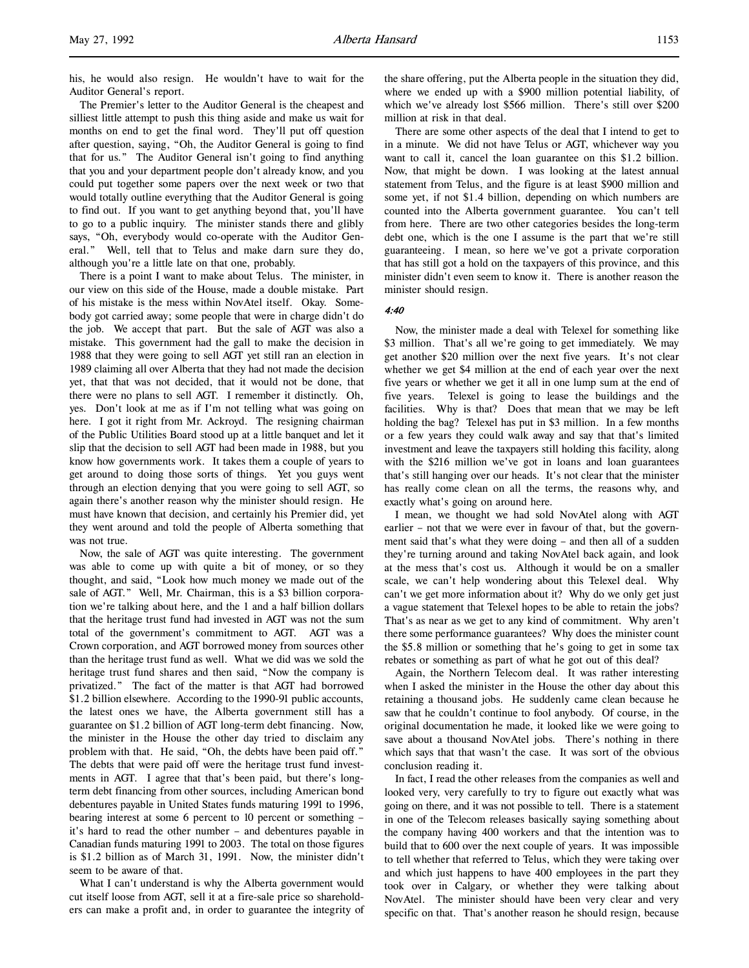his, he would also resign. He wouldn't have to wait for the Auditor General's report.

The Premier's letter to the Auditor General is the cheapest and silliest little attempt to push this thing aside and make us wait for months on end to get the final word. They'll put off question after question, saying, "Oh, the Auditor General is going to find that for us." The Auditor General isn't going to find anything that you and your department people don't already know, and you could put together some papers over the next week or two that would totally outline everything that the Auditor General is going to find out. If you want to get anything beyond that, you'll have to go to a public inquiry. The minister stands there and glibly says, "Oh, everybody would co-operate with the Auditor General." Well, tell that to Telus and make darn sure they do, although you're a little late on that one, probably.

There is a point I want to make about Telus. The minister, in our view on this side of the House, made a double mistake. Part of his mistake is the mess within NovAtel itself. Okay. Somebody got carried away; some people that were in charge didn't do the job. We accept that part. But the sale of AGT was also a mistake. This government had the gall to make the decision in 1988 that they were going to sell AGT yet still ran an election in 1989 claiming all over Alberta that they had not made the decision yet, that that was not decided, that it would not be done, that there were no plans to sell AGT. I remember it distinctly. Oh, yes. Don't look at me as if I'm not telling what was going on here. I got it right from Mr. Ackroyd. The resigning chairman of the Public Utilities Board stood up at a little banquet and let it slip that the decision to sell AGT had been made in 1988, but you know how governments work. It takes them a couple of years to get around to doing those sorts of things. Yet you guys went through an election denying that you were going to sell AGT, so again there's another reason why the minister should resign. He must have known that decision, and certainly his Premier did, yet they went around and told the people of Alberta something that was not true.

Now, the sale of AGT was quite interesting. The government was able to come up with quite a bit of money, or so they thought, and said, "Look how much money we made out of the sale of AGT." Well, Mr. Chairman, this is a \$3 billion corporation we're talking about here, and the 1 and a half billion dollars that the heritage trust fund had invested in AGT was not the sum total of the government's commitment to AGT. AGT was a Crown corporation, and AGT borrowed money from sources other than the heritage trust fund as well. What we did was we sold the heritage trust fund shares and then said, "Now the company is privatized." The fact of the matter is that AGT had borrowed \$1.2 billion elsewhere. According to the 1990-91 public accounts, the latest ones we have, the Alberta government still has a guarantee on \$1.2 billion of AGT long-term debt financing. Now, the minister in the House the other day tried to disclaim any problem with that. He said, "Oh, the debts have been paid off." The debts that were paid off were the heritage trust fund investments in AGT. I agree that that's been paid, but there's longterm debt financing from other sources, including American bond debentures payable in United States funds maturing 1991 to 1996, bearing interest at some 6 percent to 10 percent or something – it's hard to read the other number – and debentures payable in Canadian funds maturing 1991 to 2003. The total on those figures is \$1.2 billion as of March 31, 1991. Now, the minister didn't seem to be aware of that.

What I can't understand is why the Alberta government would cut itself loose from AGT, sell it at a fire-sale price so shareholders can make a profit and, in order to guarantee the integrity of the share offering, put the Alberta people in the situation they did, where we ended up with a \$900 million potential liability, of which we've already lost \$566 million. There's still over \$200 million at risk in that deal.

There are some other aspects of the deal that I intend to get to in a minute. We did not have Telus or AGT, whichever way you want to call it, cancel the loan guarantee on this \$1.2 billion. Now, that might be down. I was looking at the latest annual statement from Telus, and the figure is at least \$900 million and some yet, if not \$1.4 billion, depending on which numbers are counted into the Alberta government guarantee. You can't tell from here. There are two other categories besides the long-term debt one, which is the one I assume is the part that we're still guaranteeing. I mean, so here we've got a private corporation that has still got a hold on the taxpayers of this province, and this minister didn't even seem to know it. There is another reason the minister should resign.

# 4:40

Now, the minister made a deal with Telexel for something like \$3 million. That's all we're going to get immediately. We may get another \$20 million over the next five years. It's not clear whether we get \$4 million at the end of each year over the next five years or whether we get it all in one lump sum at the end of five years. Telexel is going to lease the buildings and the facilities. Why is that? Does that mean that we may be left holding the bag? Telexel has put in \$3 million. In a few months or a few years they could walk away and say that that's limited investment and leave the taxpayers still holding this facility, along with the \$216 million we've got in loans and loan guarantees that's still hanging over our heads. It's not clear that the minister has really come clean on all the terms, the reasons why, and exactly what's going on around here.

I mean, we thought we had sold NovAtel along with AGT earlier – not that we were ever in favour of that, but the government said that's what they were doing – and then all of a sudden they're turning around and taking NovAtel back again, and look at the mess that's cost us. Although it would be on a smaller scale, we can't help wondering about this Telexel deal. Why can't we get more information about it? Why do we only get just a vague statement that Telexel hopes to be able to retain the jobs? That's as near as we get to any kind of commitment. Why aren't there some performance guarantees? Why does the minister count the \$5.8 million or something that he's going to get in some tax rebates or something as part of what he got out of this deal?

Again, the Northern Telecom deal. It was rather interesting when I asked the minister in the House the other day about this retaining a thousand jobs. He suddenly came clean because he saw that he couldn't continue to fool anybody. Of course, in the original documentation he made, it looked like we were going to save about a thousand NovAtel jobs. There's nothing in there which says that that wasn't the case. It was sort of the obvious conclusion reading it.

In fact, I read the other releases from the companies as well and looked very, very carefully to try to figure out exactly what was going on there, and it was not possible to tell. There is a statement in one of the Telecom releases basically saying something about the company having 400 workers and that the intention was to build that to 600 over the next couple of years. It was impossible to tell whether that referred to Telus, which they were taking over and which just happens to have 400 employees in the part they took over in Calgary, or whether they were talking about NovAtel. The minister should have been very clear and very specific on that. That's another reason he should resign, because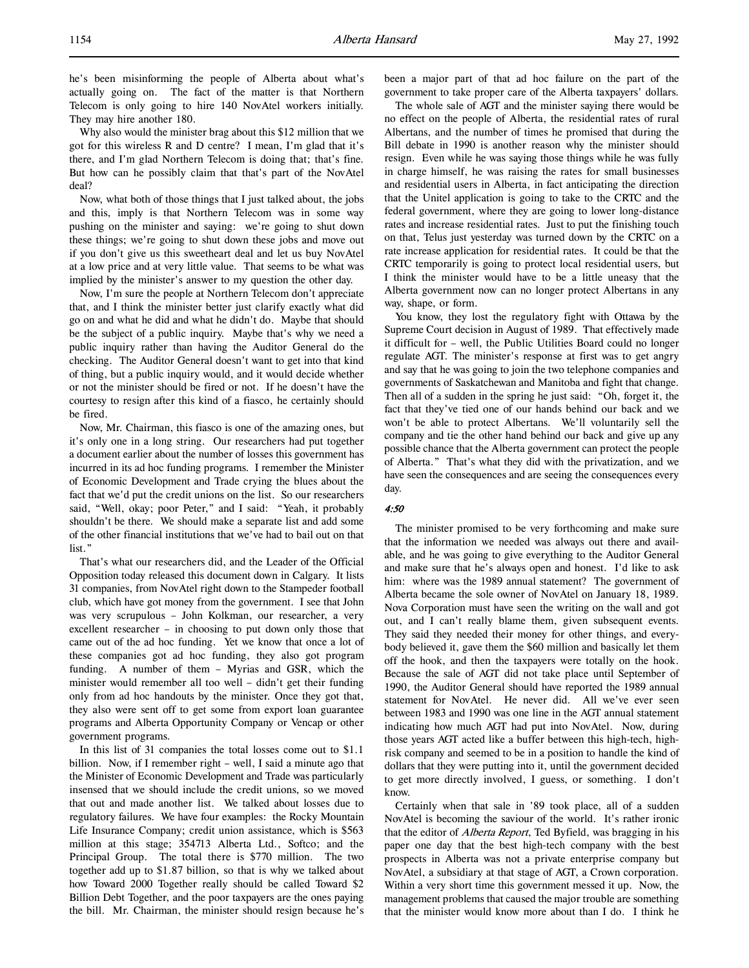he's been misinforming the people of Alberta about what's actually going on. The fact of the matter is that Northern Telecom is only going to hire 140 NovAtel workers initially. They may hire another 180.

Why also would the minister brag about this \$12 million that we got for this wireless R and D centre? I mean, I'm glad that it's there, and I'm glad Northern Telecom is doing that; that's fine. But how can he possibly claim that that's part of the NovAtel deal?

Now, what both of those things that I just talked about, the jobs and this, imply is that Northern Telecom was in some way pushing on the minister and saying: we're going to shut down these things; we're going to shut down these jobs and move out if you don't give us this sweetheart deal and let us buy NovAtel at a low price and at very little value. That seems to be what was implied by the minister's answer to my question the other day.

Now, I'm sure the people at Northern Telecom don't appreciate that, and I think the minister better just clarify exactly what did go on and what he did and what he didn't do. Maybe that should be the subject of a public inquiry. Maybe that's why we need a public inquiry rather than having the Auditor General do the checking. The Auditor General doesn't want to get into that kind of thing, but a public inquiry would, and it would decide whether or not the minister should be fired or not. If he doesn't have the courtesy to resign after this kind of a fiasco, he certainly should be fired.

Now, Mr. Chairman, this fiasco is one of the amazing ones, but it's only one in a long string. Our researchers had put together a document earlier about the number of losses this government has incurred in its ad hoc funding programs. I remember the Minister of Economic Development and Trade crying the blues about the fact that we'd put the credit unions on the list. So our researchers said, "Well, okay; poor Peter," and I said: "Yeah, it probably shouldn't be there. We should make a separate list and add some of the other financial institutions that we've had to bail out on that list."

That's what our researchers did, and the Leader of the Official Opposition today released this document down in Calgary. It lists 31 companies, from NovAtel right down to the Stampeder football club, which have got money from the government. I see that John was very scrupulous – John Kolkman, our researcher, a very excellent researcher – in choosing to put down only those that came out of the ad hoc funding. Yet we know that once a lot of these companies got ad hoc funding, they also got program funding. A number of them – Myrias and GSR, which the minister would remember all too well – didn't get their funding only from ad hoc handouts by the minister. Once they got that, they also were sent off to get some from export loan guarantee programs and Alberta Opportunity Company or Vencap or other government programs.

In this list of 31 companies the total losses come out to \$1.1 billion. Now, if I remember right – well, I said a minute ago that the Minister of Economic Development and Trade was particularly insensed that we should include the credit unions, so we moved that out and made another list. We talked about losses due to regulatory failures. We have four examples: the Rocky Mountain Life Insurance Company; credit union assistance, which is \$563 million at this stage; 354713 Alberta Ltd., Softco; and the Principal Group. The total there is \$770 million. The two together add up to \$1.87 billion, so that is why we talked about how Toward 2000 Together really should be called Toward \$2 Billion Debt Together, and the poor taxpayers are the ones paying the bill. Mr. Chairman, the minister should resign because he's been a major part of that ad hoc failure on the part of the government to take proper care of the Alberta taxpayers' dollars.

The whole sale of AGT and the minister saying there would be no effect on the people of Alberta, the residential rates of rural Albertans, and the number of times he promised that during the Bill debate in 1990 is another reason why the minister should resign. Even while he was saying those things while he was fully in charge himself, he was raising the rates for small businesses and residential users in Alberta, in fact anticipating the direction that the Unitel application is going to take to the CRTC and the federal government, where they are going to lower long-distance rates and increase residential rates. Just to put the finishing touch on that, Telus just yesterday was turned down by the CRTC on a rate increase application for residential rates. It could be that the CRTC temporarily is going to protect local residential users, but I think the minister would have to be a little uneasy that the Alberta government now can no longer protect Albertans in any way, shape, or form.

You know, they lost the regulatory fight with Ottawa by the Supreme Court decision in August of 1989. That effectively made it difficult for – well, the Public Utilities Board could no longer regulate AGT. The minister's response at first was to get angry and say that he was going to join the two telephone companies and governments of Saskatchewan and Manitoba and fight that change. Then all of a sudden in the spring he just said: "Oh, forget it, the fact that they've tied one of our hands behind our back and we won't be able to protect Albertans. We'll voluntarily sell the company and tie the other hand behind our back and give up any possible chance that the Alberta government can protect the people of Alberta." That's what they did with the privatization, and we have seen the consequences and are seeing the consequences every day.

### 4:50

The minister promised to be very forthcoming and make sure that the information we needed was always out there and available, and he was going to give everything to the Auditor General and make sure that he's always open and honest. I'd like to ask him: where was the 1989 annual statement? The government of Alberta became the sole owner of NovAtel on January 18, 1989. Nova Corporation must have seen the writing on the wall and got out, and I can't really blame them, given subsequent events. They said they needed their money for other things, and everybody believed it, gave them the \$60 million and basically let them off the hook, and then the taxpayers were totally on the hook. Because the sale of AGT did not take place until September of 1990, the Auditor General should have reported the 1989 annual statement for NovAtel. He never did. All we've ever seen between 1983 and 1990 was one line in the AGT annual statement indicating how much AGT had put into NovAtel. Now, during those years AGT acted like a buffer between this high-tech, highrisk company and seemed to be in a position to handle the kind of dollars that they were putting into it, until the government decided to get more directly involved, I guess, or something. I don't know.

Certainly when that sale in '89 took place, all of a sudden NovAtel is becoming the saviour of the world. It's rather ironic that the editor of *Alberta Report*, Ted Byfield, was bragging in his paper one day that the best high-tech company with the best prospects in Alberta was not a private enterprise company but NovAtel, a subsidiary at that stage of AGT, a Crown corporation. Within a very short time this government messed it up. Now, the management problems that caused the major trouble are something that the minister would know more about than I do. I think he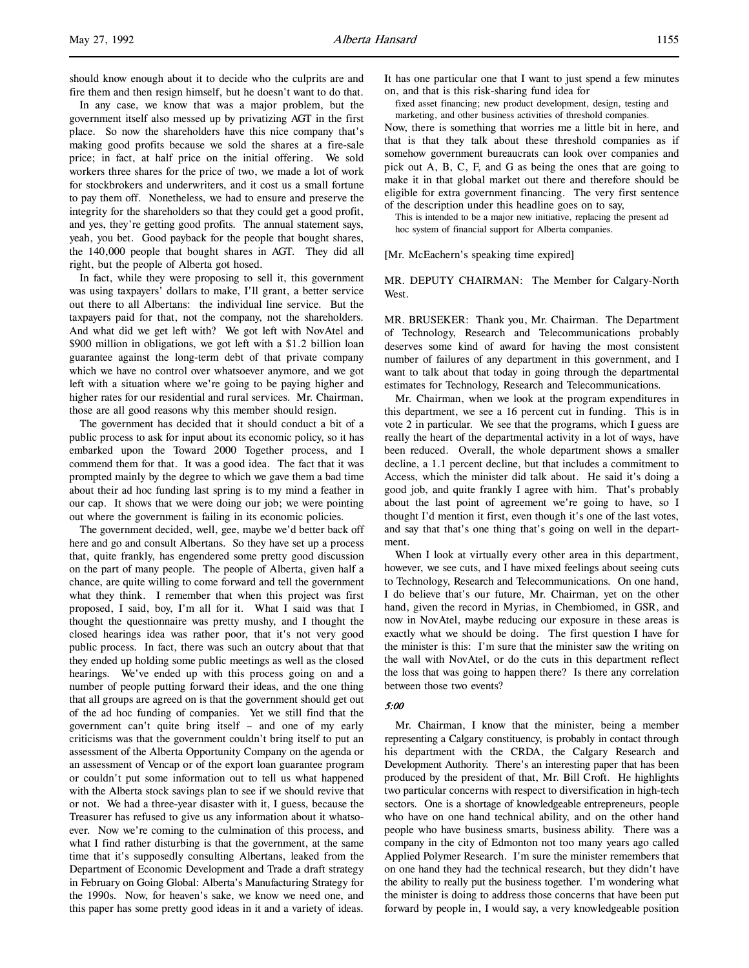should know enough about it to decide who the culprits are and fire them and then resign himself, but he doesn't want to do that.

In any case, we know that was a major problem, but the government itself also messed up by privatizing AGT in the first place. So now the shareholders have this nice company that's making good profits because we sold the shares at a fire-sale price; in fact, at half price on the initial offering. We sold workers three shares for the price of two, we made a lot of work for stockbrokers and underwriters, and it cost us a small fortune to pay them off. Nonetheless, we had to ensure and preserve the integrity for the shareholders so that they could get a good profit, and yes, they're getting good profits. The annual statement says, yeah, you bet. Good payback for the people that bought shares, the 140,000 people that bought shares in AGT. They did all right, but the people of Alberta got hosed.

In fact, while they were proposing to sell it, this government was using taxpayers' dollars to make, I'll grant, a better service out there to all Albertans: the individual line service. But the taxpayers paid for that, not the company, not the shareholders. And what did we get left with? We got left with NovAtel and \$900 million in obligations, we got left with a \$1.2 billion loan guarantee against the long-term debt of that private company which we have no control over whatsoever anymore, and we got left with a situation where we're going to be paying higher and higher rates for our residential and rural services. Mr. Chairman, those are all good reasons why this member should resign.

The government has decided that it should conduct a bit of a public process to ask for input about its economic policy, so it has embarked upon the Toward 2000 Together process, and I commend them for that. It was a good idea. The fact that it was prompted mainly by the degree to which we gave them a bad time about their ad hoc funding last spring is to my mind a feather in our cap. It shows that we were doing our job; we were pointing out where the government is failing in its economic policies.

The government decided, well, gee, maybe we'd better back off here and go and consult Albertans. So they have set up a process that, quite frankly, has engendered some pretty good discussion on the part of many people. The people of Alberta, given half a chance, are quite willing to come forward and tell the government what they think. I remember that when this project was first proposed, I said, boy, I'm all for it. What I said was that I thought the questionnaire was pretty mushy, and I thought the closed hearings idea was rather poor, that it's not very good public process. In fact, there was such an outcry about that that they ended up holding some public meetings as well as the closed hearings. We've ended up with this process going on and a number of people putting forward their ideas, and the one thing that all groups are agreed on is that the government should get out of the ad hoc funding of companies. Yet we still find that the government can't quite bring itself – and one of my early criticisms was that the government couldn't bring itself to put an assessment of the Alberta Opportunity Company on the agenda or an assessment of Vencap or of the export loan guarantee program or couldn't put some information out to tell us what happened with the Alberta stock savings plan to see if we should revive that or not. We had a three-year disaster with it, I guess, because the Treasurer has refused to give us any information about it whatsoever. Now we're coming to the culmination of this process, and what I find rather disturbing is that the government, at the same time that it's supposedly consulting Albertans, leaked from the Department of Economic Development and Trade a draft strategy in February on Going Global: Alberta's Manufacturing Strategy for the 1990s. Now, for heaven's sake, we know we need one, and this paper has some pretty good ideas in it and a variety of ideas.

It has one particular one that I want to just spend a few minutes on, and that is this risk-sharing fund idea for

fixed asset financing; new product development, design, testing and marketing, and other business activities of threshold companies.

Now, there is something that worries me a little bit in here, and that is that they talk about these threshold companies as if somehow government bureaucrats can look over companies and pick out A, B, C, F, and G as being the ones that are going to make it in that global market out there and therefore should be eligible for extra government financing. The very first sentence of the description under this headline goes on to say,

This is intended to be a major new initiative, replacing the present ad hoc system of financial support for Alberta companies.

[Mr. McEachern's speaking time expired]

MR. DEPUTY CHAIRMAN: The Member for Calgary-North West.

MR. BRUSEKER: Thank you, Mr. Chairman. The Department of Technology, Research and Telecommunications probably deserves some kind of award for having the most consistent number of failures of any department in this government, and I want to talk about that today in going through the departmental estimates for Technology, Research and Telecommunications.

Mr. Chairman, when we look at the program expenditures in this department, we see a 16 percent cut in funding. This is in vote 2 in particular. We see that the programs, which I guess are really the heart of the departmental activity in a lot of ways, have been reduced. Overall, the whole department shows a smaller decline, a 1.1 percent decline, but that includes a commitment to Access, which the minister did talk about. He said it's doing a good job, and quite frankly I agree with him. That's probably about the last point of agreement we're going to have, so I thought I'd mention it first, even though it's one of the last votes, and say that that's one thing that's going on well in the department.

When I look at virtually every other area in this department, however, we see cuts, and I have mixed feelings about seeing cuts to Technology, Research and Telecommunications. On one hand, I do believe that's our future, Mr. Chairman, yet on the other hand, given the record in Myrias, in Chembiomed, in GSR, and now in NovAtel, maybe reducing our exposure in these areas is exactly what we should be doing. The first question I have for the minister is this: I'm sure that the minister saw the writing on the wall with NovAtel, or do the cuts in this department reflect the loss that was going to happen there? Is there any correlation between those two events?

# 5:00

Mr. Chairman, I know that the minister, being a member representing a Calgary constituency, is probably in contact through his department with the CRDA, the Calgary Research and Development Authority. There's an interesting paper that has been produced by the president of that, Mr. Bill Croft. He highlights two particular concerns with respect to diversification in high-tech sectors. One is a shortage of knowledgeable entrepreneurs, people who have on one hand technical ability, and on the other hand people who have business smarts, business ability. There was a company in the city of Edmonton not too many years ago called Applied Polymer Research. I'm sure the minister remembers that on one hand they had the technical research, but they didn't have the ability to really put the business together. I'm wondering what the minister is doing to address those concerns that have been put forward by people in, I would say, a very knowledgeable position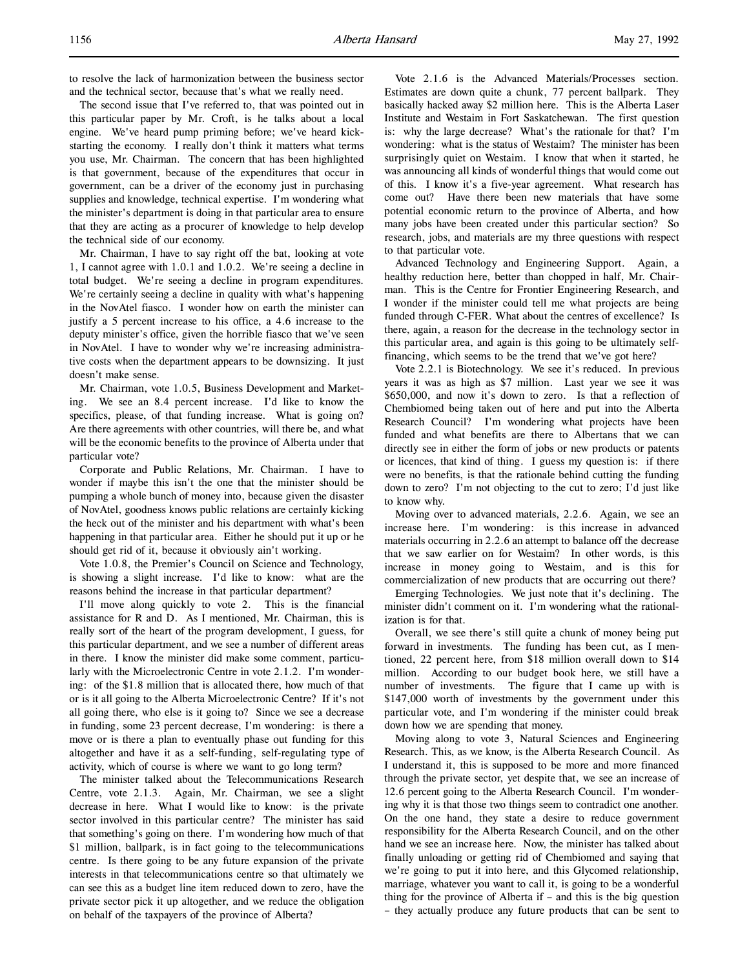to resolve the lack of harmonization between the business sector and the technical sector, because that's what we really need.

The second issue that I've referred to, that was pointed out in this particular paper by Mr. Croft, is he talks about a local engine. We've heard pump priming before; we've heard kickstarting the economy. I really don't think it matters what terms you use, Mr. Chairman. The concern that has been highlighted is that government, because of the expenditures that occur in government, can be a driver of the economy just in purchasing supplies and knowledge, technical expertise. I'm wondering what the minister's department is doing in that particular area to ensure that they are acting as a procurer of knowledge to help develop the technical side of our economy.

Mr. Chairman, I have to say right off the bat, looking at vote 1, I cannot agree with 1.0.1 and 1.0.2. We're seeing a decline in total budget. We're seeing a decline in program expenditures. We're certainly seeing a decline in quality with what's happening in the NovAtel fiasco. I wonder how on earth the minister can justify a 5 percent increase to his office, a 4.6 increase to the deputy minister's office, given the horrible fiasco that we've seen in NovAtel. I have to wonder why we're increasing administrative costs when the department appears to be downsizing. It just doesn't make sense.

Mr. Chairman, vote 1.0.5, Business Development and Marketing. We see an 8.4 percent increase. I'd like to know the specifics, please, of that funding increase. What is going on? Are there agreements with other countries, will there be, and what will be the economic benefits to the province of Alberta under that particular vote?

Corporate and Public Relations, Mr. Chairman. I have to wonder if maybe this isn't the one that the minister should be pumping a whole bunch of money into, because given the disaster of NovAtel, goodness knows public relations are certainly kicking the heck out of the minister and his department with what's been happening in that particular area. Either he should put it up or he should get rid of it, because it obviously ain't working.

Vote 1.0.8, the Premier's Council on Science and Technology, is showing a slight increase. I'd like to know: what are the reasons behind the increase in that particular department?

I'll move along quickly to vote 2. This is the financial assistance for R and D. As I mentioned, Mr. Chairman, this is really sort of the heart of the program development, I guess, for this particular department, and we see a number of different areas in there. I know the minister did make some comment, particularly with the Microelectronic Centre in vote 2.1.2. I'm wondering: of the \$1.8 million that is allocated there, how much of that or is it all going to the Alberta Microelectronic Centre? If it's not all going there, who else is it going to? Since we see a decrease in funding, some 23 percent decrease, I'm wondering: is there a move or is there a plan to eventually phase out funding for this altogether and have it as a self-funding, self-regulating type of activity, which of course is where we want to go long term?

The minister talked about the Telecommunications Research Centre, vote 2.1.3. Again, Mr. Chairman, we see a slight decrease in here. What I would like to know: is the private sector involved in this particular centre? The minister has said that something's going on there. I'm wondering how much of that \$1 million, ballpark, is in fact going to the telecommunications centre. Is there going to be any future expansion of the private interests in that telecommunications centre so that ultimately we can see this as a budget line item reduced down to zero, have the private sector pick it up altogether, and we reduce the obligation on behalf of the taxpayers of the province of Alberta?

Vote 2.1.6 is the Advanced Materials/Processes section. Estimates are down quite a chunk, 77 percent ballpark. They basically hacked away \$2 million here. This is the Alberta Laser Institute and Westaim in Fort Saskatchewan. The first question is: why the large decrease? What's the rationale for that? I'm wondering: what is the status of Westaim? The minister has been surprisingly quiet on Westaim. I know that when it started, he was announcing all kinds of wonderful things that would come out of this. I know it's a five-year agreement. What research has come out? Have there been new materials that have some potential economic return to the province of Alberta, and how many jobs have been created under this particular section? So research, jobs, and materials are my three questions with respect to that particular vote.

Advanced Technology and Engineering Support. Again, a healthy reduction here, better than chopped in half, Mr. Chairman. This is the Centre for Frontier Engineering Research, and I wonder if the minister could tell me what projects are being funded through C-FER. What about the centres of excellence? Is there, again, a reason for the decrease in the technology sector in this particular area, and again is this going to be ultimately selffinancing, which seems to be the trend that we've got here?

Vote 2.2.1 is Biotechnology. We see it's reduced. In previous years it was as high as \$7 million. Last year we see it was \$650,000, and now it's down to zero. Is that a reflection of Chembiomed being taken out of here and put into the Alberta Research Council? I'm wondering what projects have been funded and what benefits are there to Albertans that we can directly see in either the form of jobs or new products or patents or licences, that kind of thing. I guess my question is: if there were no benefits, is that the rationale behind cutting the funding down to zero? I'm not objecting to the cut to zero; I'd just like to know why.

Moving over to advanced materials, 2.2.6. Again, we see an increase here. I'm wondering: is this increase in advanced materials occurring in 2.2.6 an attempt to balance off the decrease that we saw earlier on for Westaim? In other words, is this increase in money going to Westaim, and is this for commercialization of new products that are occurring out there?

Emerging Technologies. We just note that it's declining. The minister didn't comment on it. I'm wondering what the rationalization is for that.

Overall, we see there's still quite a chunk of money being put forward in investments. The funding has been cut, as I mentioned, 22 percent here, from \$18 million overall down to \$14 million. According to our budget book here, we still have a number of investments. The figure that I came up with is \$147,000 worth of investments by the government under this particular vote, and I'm wondering if the minister could break down how we are spending that money.

Moving along to vote 3, Natural Sciences and Engineering Research. This, as we know, is the Alberta Research Council. As I understand it, this is supposed to be more and more financed through the private sector, yet despite that, we see an increase of 12.6 percent going to the Alberta Research Council. I'm wondering why it is that those two things seem to contradict one another. On the one hand, they state a desire to reduce government responsibility for the Alberta Research Council, and on the other hand we see an increase here. Now, the minister has talked about finally unloading or getting rid of Chembiomed and saying that we're going to put it into here, and this Glycomed relationship, marriage, whatever you want to call it, is going to be a wonderful thing for the province of Alberta if – and this is the big question – they actually produce any future products that can be sent to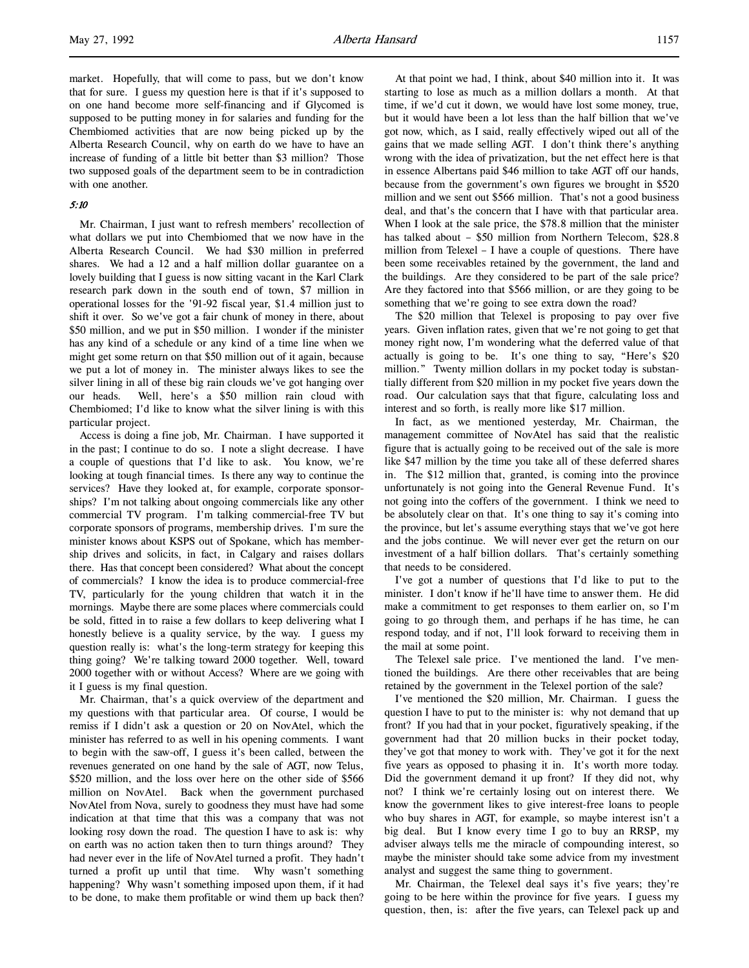market. Hopefully, that will come to pass, but we don't know that for sure. I guess my question here is that if it's supposed to on one hand become more self-financing and if Glycomed is supposed to be putting money in for salaries and funding for the Chembiomed activities that are now being picked up by the Alberta Research Council, why on earth do we have to have an increase of funding of a little bit better than \$3 million? Those two supposed goals of the department seem to be in contradiction with one another.

## 5:10

Mr. Chairman, I just want to refresh members' recollection of what dollars we put into Chembiomed that we now have in the Alberta Research Council. We had \$30 million in preferred shares. We had a 12 and a half million dollar guarantee on a lovely building that I guess is now sitting vacant in the Karl Clark research park down in the south end of town, \$7 million in operational losses for the '91-92 fiscal year, \$1.4 million just to shift it over. So we've got a fair chunk of money in there, about \$50 million, and we put in \$50 million. I wonder if the minister has any kind of a schedule or any kind of a time line when we might get some return on that \$50 million out of it again, because we put a lot of money in. The minister always likes to see the silver lining in all of these big rain clouds we've got hanging over our heads. Well, here's a \$50 million rain cloud with Chembiomed; I'd like to know what the silver lining is with this particular project.

Access is doing a fine job, Mr. Chairman. I have supported it in the past; I continue to do so. I note a slight decrease. I have a couple of questions that I'd like to ask. You know, we're looking at tough financial times. Is there any way to continue the services? Have they looked at, for example, corporate sponsorships? I'm not talking about ongoing commercials like any other commercial TV program. I'm talking commercial-free TV but corporate sponsors of programs, membership drives. I'm sure the minister knows about KSPS out of Spokane, which has membership drives and solicits, in fact, in Calgary and raises dollars there. Has that concept been considered? What about the concept of commercials? I know the idea is to produce commercial-free TV, particularly for the young children that watch it in the mornings. Maybe there are some places where commercials could be sold, fitted in to raise a few dollars to keep delivering what I honestly believe is a quality service, by the way. I guess my question really is: what's the long-term strategy for keeping this thing going? We're talking toward 2000 together. Well, toward 2000 together with or without Access? Where are we going with it I guess is my final question.

Mr. Chairman, that's a quick overview of the department and my questions with that particular area. Of course, I would be remiss if I didn't ask a question or 20 on NovAtel, which the minister has referred to as well in his opening comments. I want to begin with the saw-off, I guess it's been called, between the revenues generated on one hand by the sale of AGT, now Telus, \$520 million, and the loss over here on the other side of \$566 million on NovAtel. Back when the government purchased NovAtel from Nova, surely to goodness they must have had some indication at that time that this was a company that was not looking rosy down the road. The question I have to ask is: why on earth was no action taken then to turn things around? They had never ever in the life of NovAtel turned a profit. They hadn't turned a profit up until that time. Why wasn't something happening? Why wasn't something imposed upon them, if it had to be done, to make them profitable or wind them up back then?

At that point we had, I think, about \$40 million into it. It was starting to lose as much as a million dollars a month. At that time, if we'd cut it down, we would have lost some money, true, but it would have been a lot less than the half billion that we've got now, which, as I said, really effectively wiped out all of the gains that we made selling AGT. I don't think there's anything wrong with the idea of privatization, but the net effect here is that in essence Albertans paid \$46 million to take AGT off our hands, because from the government's own figures we brought in \$520 million and we sent out \$566 million. That's not a good business deal, and that's the concern that I have with that particular area. When I look at the sale price, the \$78.8 million that the minister has talked about – \$50 million from Northern Telecom, \$28.8 million from Telexel – I have a couple of questions. There have been some receivables retained by the government, the land and the buildings. Are they considered to be part of the sale price? Are they factored into that \$566 million, or are they going to be something that we're going to see extra down the road?

The \$20 million that Telexel is proposing to pay over five years. Given inflation rates, given that we're not going to get that money right now, I'm wondering what the deferred value of that actually is going to be. It's one thing to say, "Here's \$20 million." Twenty million dollars in my pocket today is substantially different from \$20 million in my pocket five years down the road. Our calculation says that that figure, calculating loss and interest and so forth, is really more like \$17 million.

In fact, as we mentioned yesterday, Mr. Chairman, the management committee of NovAtel has said that the realistic figure that is actually going to be received out of the sale is more like \$47 million by the time you take all of these deferred shares in. The \$12 million that, granted, is coming into the province unfortunately is not going into the General Revenue Fund. It's not going into the coffers of the government. I think we need to be absolutely clear on that. It's one thing to say it's coming into the province, but let's assume everything stays that we've got here and the jobs continue. We will never ever get the return on our investment of a half billion dollars. That's certainly something that needs to be considered.

I've got a number of questions that I'd like to put to the minister. I don't know if he'll have time to answer them. He did make a commitment to get responses to them earlier on, so I'm going to go through them, and perhaps if he has time, he can respond today, and if not, I'll look forward to receiving them in the mail at some point.

The Telexel sale price. I've mentioned the land. I've mentioned the buildings. Are there other receivables that are being retained by the government in the Telexel portion of the sale?

I've mentioned the \$20 million, Mr. Chairman. I guess the question I have to put to the minister is: why not demand that up front? If you had that in your pocket, figuratively speaking, if the government had that 20 million bucks in their pocket today, they've got that money to work with. They've got it for the next five years as opposed to phasing it in. It's worth more today. Did the government demand it up front? If they did not, why not? I think we're certainly losing out on interest there. We know the government likes to give interest-free loans to people who buy shares in AGT, for example, so maybe interest isn't a big deal. But I know every time I go to buy an RRSP, my adviser always tells me the miracle of compounding interest, so maybe the minister should take some advice from my investment analyst and suggest the same thing to government.

Mr. Chairman, the Telexel deal says it's five years; they're going to be here within the province for five years. I guess my question, then, is: after the five years, can Telexel pack up and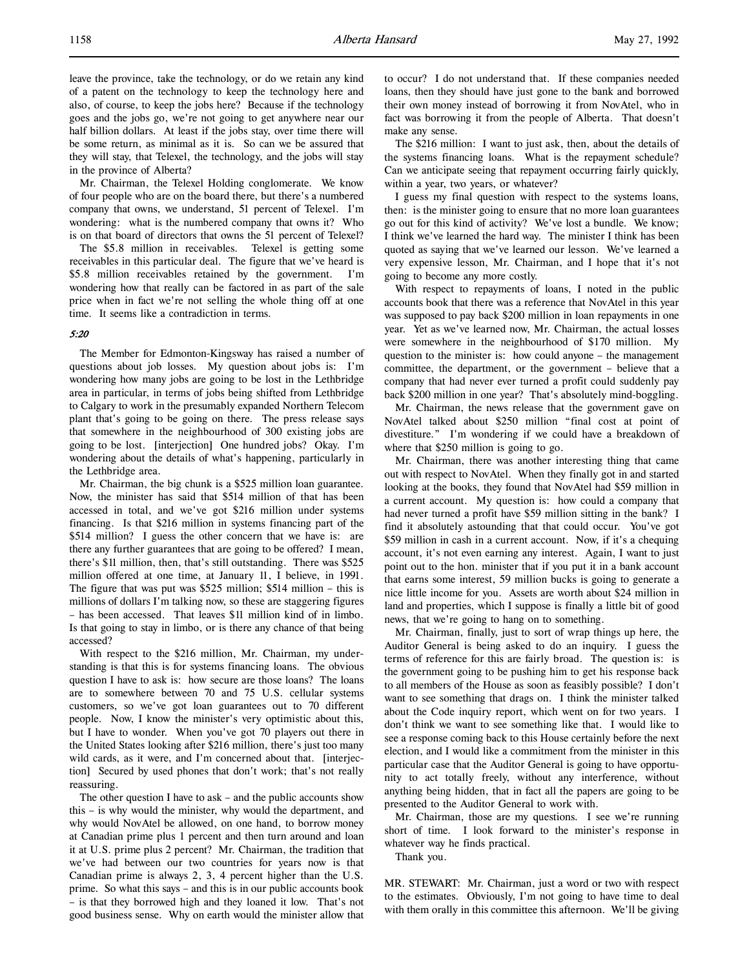leave the province, take the technology, or do we retain any kind of a patent on the technology to keep the technology here and also, of course, to keep the jobs here? Because if the technology goes and the jobs go, we're not going to get anywhere near our half billion dollars. At least if the jobs stay, over time there will be some return, as minimal as it is. So can we be assured that they will stay, that Telexel, the technology, and the jobs will stay in the province of Alberta?

Mr. Chairman, the Telexel Holding conglomerate. We know of four people who are on the board there, but there's a numbered company that owns, we understand, 51 percent of Telexel. I'm wondering: what is the numbered company that owns it? Who is on that board of directors that owns the 51 percent of Telexel?

The \$5.8 million in receivables. Telexel is getting some receivables in this particular deal. The figure that we've heard is \$5.8 million receivables retained by the government. I'm wondering how that really can be factored in as part of the sale price when in fact we're not selling the whole thing off at one time. It seems like a contradiction in terms.

# 5:20

The Member for Edmonton-Kingsway has raised a number of questions about job losses. My question about jobs is: I'm wondering how many jobs are going to be lost in the Lethbridge area in particular, in terms of jobs being shifted from Lethbridge to Calgary to work in the presumably expanded Northern Telecom plant that's going to be going on there. The press release says that somewhere in the neighbourhood of 300 existing jobs are going to be lost. [interjection] One hundred jobs? Okay. I'm wondering about the details of what's happening, particularly in the Lethbridge area.

Mr. Chairman, the big chunk is a \$525 million loan guarantee. Now, the minister has said that \$514 million of that has been accessed in total, and we've got \$216 million under systems financing. Is that \$216 million in systems financing part of the \$514 million? I guess the other concern that we have is: are there any further guarantees that are going to be offered? I mean, there's \$11 million, then, that's still outstanding. There was \$525 million offered at one time, at January 11, I believe, in 1991. The figure that was put was \$525 million; \$514 million – this is millions of dollars I'm talking now, so these are staggering figures – has been accessed. That leaves \$11 million kind of in limbo. Is that going to stay in limbo, or is there any chance of that being accessed?

With respect to the \$216 million, Mr. Chairman, my understanding is that this is for systems financing loans. The obvious question I have to ask is: how secure are those loans? The loans are to somewhere between 70 and 75 U.S. cellular systems customers, so we've got loan guarantees out to 70 different people. Now, I know the minister's very optimistic about this, but I have to wonder. When you've got 70 players out there in the United States looking after \$216 million, there's just too many wild cards, as it were, and I'm concerned about that. [interjection] Secured by used phones that don't work; that's not really reassuring.

The other question I have to ask – and the public accounts show this – is why would the minister, why would the department, and why would NovAtel be allowed, on one hand, to borrow money at Canadian prime plus 1 percent and then turn around and loan it at U.S. prime plus 2 percent? Mr. Chairman, the tradition that we've had between our two countries for years now is that Canadian prime is always 2, 3, 4 percent higher than the U.S. prime. So what this says – and this is in our public accounts book – is that they borrowed high and they loaned it low. That's not good business sense. Why on earth would the minister allow that to occur? I do not understand that. If these companies needed loans, then they should have just gone to the bank and borrowed their own money instead of borrowing it from NovAtel, who in fact was borrowing it from the people of Alberta. That doesn't make any sense.

The \$216 million: I want to just ask, then, about the details of the systems financing loans. What is the repayment schedule? Can we anticipate seeing that repayment occurring fairly quickly, within a year, two years, or whatever?

I guess my final question with respect to the systems loans, then: is the minister going to ensure that no more loan guarantees go out for this kind of activity? We've lost a bundle. We know; I think we've learned the hard way. The minister I think has been quoted as saying that we've learned our lesson. We've learned a very expensive lesson, Mr. Chairman, and I hope that it's not going to become any more costly.

With respect to repayments of loans, I noted in the public accounts book that there was a reference that NovAtel in this year was supposed to pay back \$200 million in loan repayments in one year. Yet as we've learned now, Mr. Chairman, the actual losses were somewhere in the neighbourhood of \$170 million. My question to the minister is: how could anyone – the management committee, the department, or the government – believe that a company that had never ever turned a profit could suddenly pay back \$200 million in one year? That's absolutely mind-boggling.

Mr. Chairman, the news release that the government gave on NovAtel talked about \$250 million "final cost at point of divestiture." I'm wondering if we could have a breakdown of where that \$250 million is going to go.

Mr. Chairman, there was another interesting thing that came out with respect to NovAtel. When they finally got in and started looking at the books, they found that NovAtel had \$59 million in a current account. My question is: how could a company that had never turned a profit have \$59 million sitting in the bank? I find it absolutely astounding that that could occur. You've got \$59 million in cash in a current account. Now, if it's a chequing account, it's not even earning any interest. Again, I want to just point out to the hon. minister that if you put it in a bank account that earns some interest, 59 million bucks is going to generate a nice little income for you. Assets are worth about \$24 million in land and properties, which I suppose is finally a little bit of good news, that we're going to hang on to something.

Mr. Chairman, finally, just to sort of wrap things up here, the Auditor General is being asked to do an inquiry. I guess the terms of reference for this are fairly broad. The question is: is the government going to be pushing him to get his response back to all members of the House as soon as feasibly possible? I don't want to see something that drags on. I think the minister talked about the Code inquiry report, which went on for two years. I don't think we want to see something like that. I would like to see a response coming back to this House certainly before the next election, and I would like a commitment from the minister in this particular case that the Auditor General is going to have opportunity to act totally freely, without any interference, without anything being hidden, that in fact all the papers are going to be presented to the Auditor General to work with.

Mr. Chairman, those are my questions. I see we're running short of time. I look forward to the minister's response in whatever way he finds practical.

Thank you.

MR. STEWART: Mr. Chairman, just a word or two with respect to the estimates. Obviously, I'm not going to have time to deal with them orally in this committee this afternoon. We'll be giving